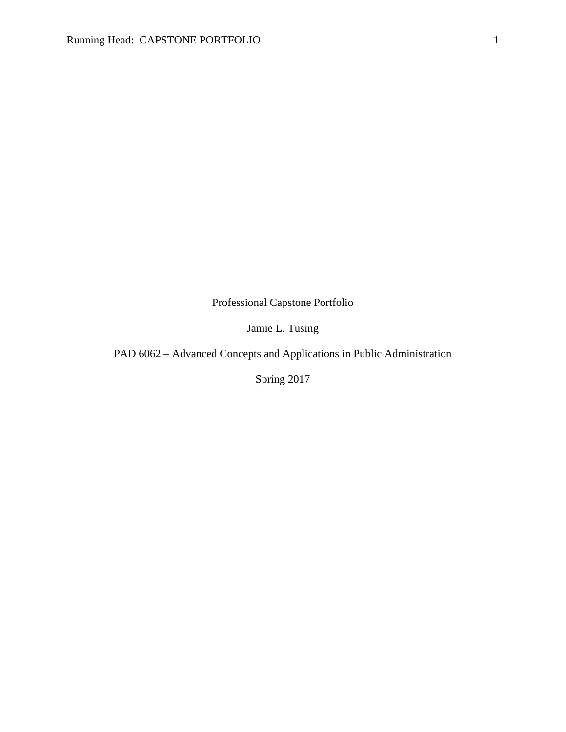Professional Capstone Portfolio

Jamie L. Tusing

PAD 6062 – Advanced Concepts and Applications in Public Administration

Spring 2017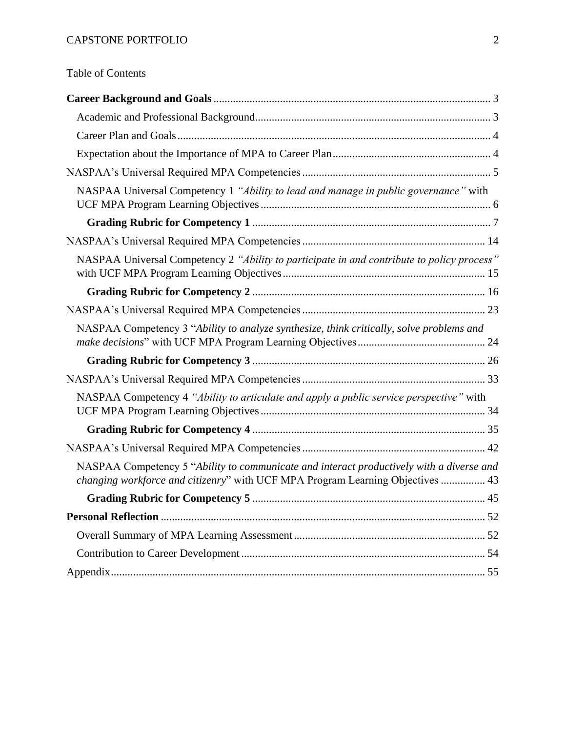| NASPAA Universal Competency 1 "Ability to lead and manage in public governance" with                                                                                       |  |
|----------------------------------------------------------------------------------------------------------------------------------------------------------------------------|--|
|                                                                                                                                                                            |  |
|                                                                                                                                                                            |  |
| NASPAA Universal Competency 2 "Ability to participate in and contribute to policy process"                                                                                 |  |
|                                                                                                                                                                            |  |
|                                                                                                                                                                            |  |
| NASPAA Competency 3 "Ability to analyze synthesize, think critically, solve problems and                                                                                   |  |
|                                                                                                                                                                            |  |
|                                                                                                                                                                            |  |
| NASPAA Competency 4 "Ability to articulate and apply a public service perspective" with                                                                                    |  |
|                                                                                                                                                                            |  |
|                                                                                                                                                                            |  |
| NASPAA Competency 5 "Ability to communicate and interact productively with a diverse and<br>changing workforce and citizenry" with UCF MPA Program Learning Objectives  43 |  |
|                                                                                                                                                                            |  |
|                                                                                                                                                                            |  |
|                                                                                                                                                                            |  |
|                                                                                                                                                                            |  |
|                                                                                                                                                                            |  |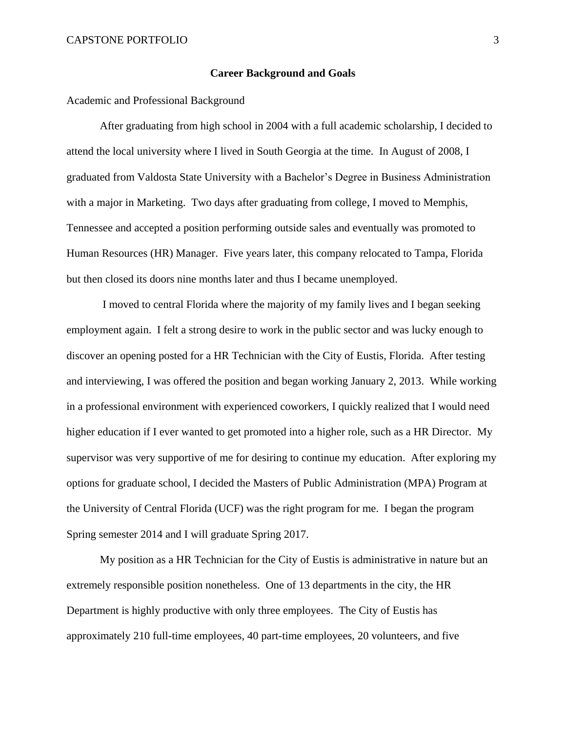#### **Career Background and Goals**

<span id="page-2-1"></span><span id="page-2-0"></span>Academic and Professional Background

After graduating from high school in 2004 with a full academic scholarship, I decided to attend the local university where I lived in South Georgia at the time. In August of 2008, I graduated from Valdosta State University with a Bachelor's Degree in Business Administration with a major in Marketing. Two days after graduating from college, I moved to Memphis, Tennessee and accepted a position performing outside sales and eventually was promoted to Human Resources (HR) Manager. Five years later, this company relocated to Tampa, Florida but then closed its doors nine months later and thus I became unemployed.

I moved to central Florida where the majority of my family lives and I began seeking employment again. I felt a strong desire to work in the public sector and was lucky enough to discover an opening posted for a HR Technician with the City of Eustis, Florida. After testing and interviewing, I was offered the position and began working January 2, 2013. While working in a professional environment with experienced coworkers, I quickly realized that I would need higher education if I ever wanted to get promoted into a higher role, such as a HR Director. My supervisor was very supportive of me for desiring to continue my education. After exploring my options for graduate school, I decided the Masters of Public Administration (MPA) Program at the University of Central Florida (UCF) was the right program for me. I began the program Spring semester 2014 and I will graduate Spring 2017.

My position as a HR Technician for the City of Eustis is administrative in nature but an extremely responsible position nonetheless. One of 13 departments in the city, the HR Department is highly productive with only three employees. The City of Eustis has approximately 210 full-time employees, 40 part-time employees, 20 volunteers, and five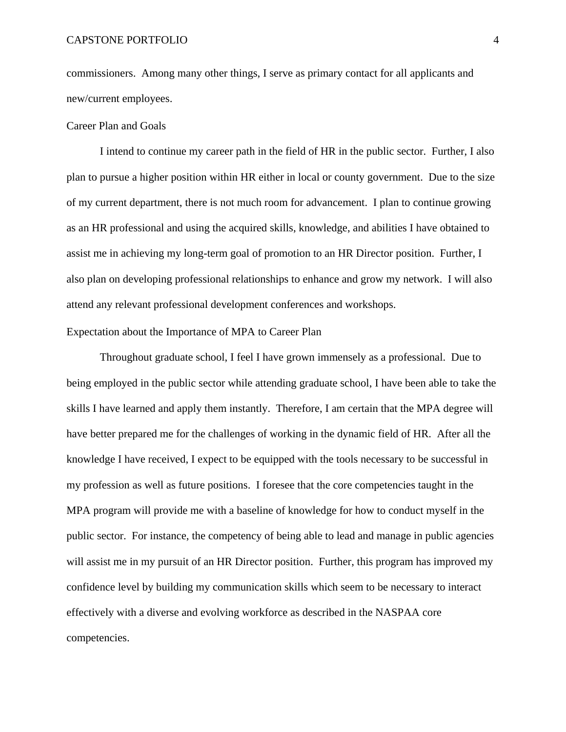commissioners. Among many other things, I serve as primary contact for all applicants and new/current employees.

### <span id="page-3-0"></span>Career Plan and Goals

I intend to continue my career path in the field of HR in the public sector. Further, I also plan to pursue a higher position within HR either in local or county government. Due to the size of my current department, there is not much room for advancement. I plan to continue growing as an HR professional and using the acquired skills, knowledge, and abilities I have obtained to assist me in achieving my long-term goal of promotion to an HR Director position. Further, I also plan on developing professional relationships to enhance and grow my network. I will also attend any relevant professional development conferences and workshops.

# <span id="page-3-1"></span>Expectation about the Importance of MPA to Career Plan

Throughout graduate school, I feel I have grown immensely as a professional. Due to being employed in the public sector while attending graduate school, I have been able to take the skills I have learned and apply them instantly. Therefore, I am certain that the MPA degree will have better prepared me for the challenges of working in the dynamic field of HR. After all the knowledge I have received, I expect to be equipped with the tools necessary to be successful in my profession as well as future positions. I foresee that the core competencies taught in the MPA program will provide me with a baseline of knowledge for how to conduct myself in the public sector. For instance, the competency of being able to lead and manage in public agencies will assist me in my pursuit of an HR Director position. Further, this program has improved my confidence level by building my communication skills which seem to be necessary to interact effectively with a diverse and evolving workforce as described in the NASPAA core competencies.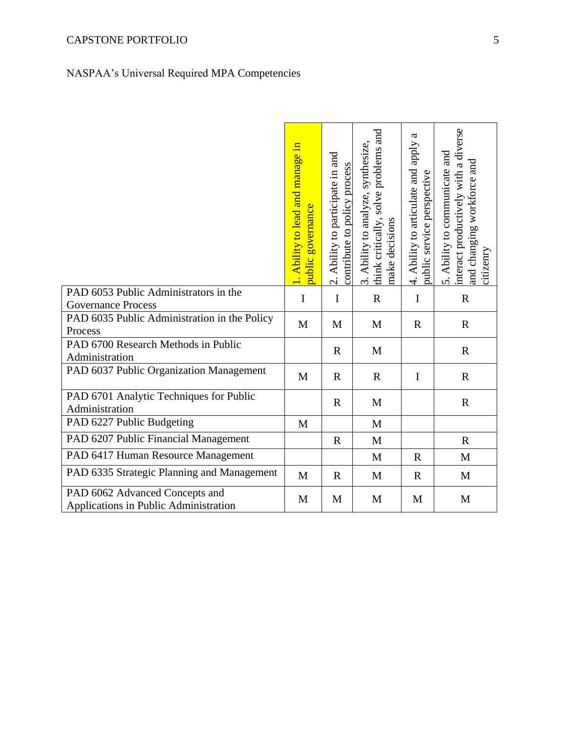# CAPSTONE PORTFOLIO 5

# <span id="page-4-0"></span>NASPAA's Universal Required MPA Competencies

|                                                                         | 1. Ability to lead and manage in<br>public governance | 2. Ability to participate in and<br>contribute to policy process | think critically, solve problems and<br>3. Ability to analyze, synthesize,<br>make decisions | ß<br>4. Ability to articulate and apply<br>public service perspective | interact productively with a diverse<br>5. Ability to communicate and<br>and changing workforce and<br>citizenry |
|-------------------------------------------------------------------------|-------------------------------------------------------|------------------------------------------------------------------|----------------------------------------------------------------------------------------------|-----------------------------------------------------------------------|------------------------------------------------------------------------------------------------------------------|
| PAD 6053 Public Administrators in the                                   | $\mathbf I$                                           | $\mathbf I$                                                      | $\mathbf R$                                                                                  | $\mathbf I$                                                           | $\mathbf R$                                                                                                      |
| <b>Governance Process</b>                                               |                                                       |                                                                  |                                                                                              |                                                                       |                                                                                                                  |
| PAD 6035 Public Administration in the Policy<br>Process                 | M                                                     | M                                                                | M                                                                                            | $\mathbf R$                                                           | $\mathbf R$                                                                                                      |
| PAD 6700 Research Methods in Public<br>Administration                   |                                                       | $\mathbf R$                                                      | M                                                                                            |                                                                       | $\mathbf R$                                                                                                      |
| PAD 6037 Public Organization Management                                 | M                                                     | $\mathbf R$                                                      | $\mathbb{R}$                                                                                 | I                                                                     | $\mathbf R$                                                                                                      |
| PAD 6701 Analytic Techniques for Public<br>Administration               |                                                       | $\mathbf R$                                                      | M                                                                                            |                                                                       | $\mathbf R$                                                                                                      |
| PAD 6227 Public Budgeting                                               | M                                                     |                                                                  | M                                                                                            |                                                                       |                                                                                                                  |
| PAD 6207 Public Financial Management                                    |                                                       | $\mathbf R$                                                      | M                                                                                            |                                                                       | $\mathbf R$                                                                                                      |
| PAD 6417 Human Resource Management                                      |                                                       |                                                                  | M                                                                                            | $\mathbf R$                                                           | M                                                                                                                |
| PAD 6335 Strategic Planning and Management                              | M                                                     | $\mathbf R$                                                      | M                                                                                            | $\mathbf R$                                                           | M                                                                                                                |
| PAD 6062 Advanced Concepts and<br>Applications in Public Administration | M                                                     | M                                                                | M                                                                                            | M                                                                     | M                                                                                                                |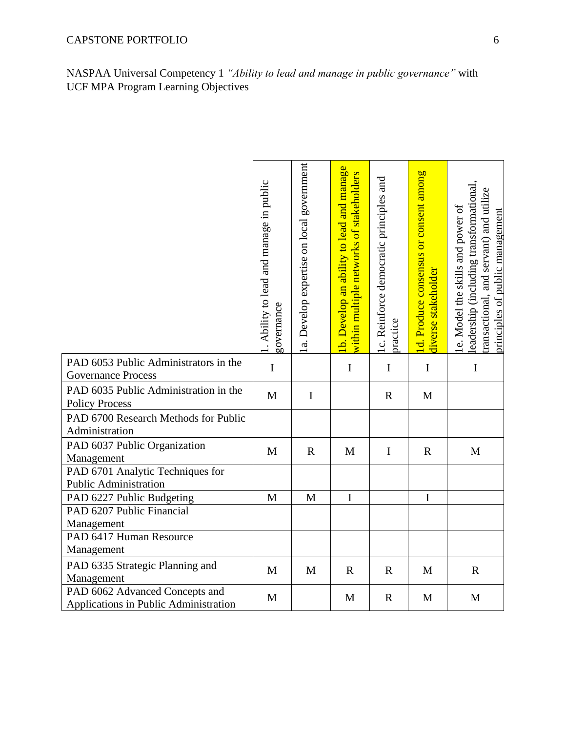<span id="page-5-0"></span>NASPAA Universal Competency 1 *"Ability to lead and manage in public governance"* with UCF MPA Program Learning Objectives

|                                                                         | 1. Ability to lead and manage in public<br>governance | 1a. Develop expertise on local government | <b>b.</b> Develop an ability to lead and manage<br>within multiple networks of stakeholders | Ic. Reinforce democratic principles and<br>oractice | 1d. Produce consensus or consent among<br>diverse stakeholder | eadership (including transformational,<br>ransactional, and servant) and utilize<br>e. Model the skills and power of<br>principles of public management |
|-------------------------------------------------------------------------|-------------------------------------------------------|-------------------------------------------|---------------------------------------------------------------------------------------------|-----------------------------------------------------|---------------------------------------------------------------|---------------------------------------------------------------------------------------------------------------------------------------------------------|
| PAD 6053 Public Administrators in the<br><b>Governance Process</b>      | $\mathbf I$                                           |                                           | I                                                                                           | $\mathbf I$                                         | $\bf I$                                                       | $\mathbf I$                                                                                                                                             |
| PAD 6035 Public Administration in the<br><b>Policy Process</b>          | M                                                     | $\mathbf I$                               |                                                                                             | $\mathbf R$                                         | M                                                             |                                                                                                                                                         |
| PAD 6700 Research Methods for Public<br>Administration                  |                                                       |                                           |                                                                                             |                                                     |                                                               |                                                                                                                                                         |
| PAD 6037 Public Organization<br>Management                              | M                                                     | $\mathbb{R}$                              | M                                                                                           | $\mathbf I$                                         | $\mathbf R$                                                   | M                                                                                                                                                       |
| PAD 6701 Analytic Techniques for<br><b>Public Administration</b>        |                                                       |                                           |                                                                                             |                                                     |                                                               |                                                                                                                                                         |
| PAD 6227 Public Budgeting                                               | M                                                     | M                                         | I                                                                                           |                                                     | I                                                             |                                                                                                                                                         |
| PAD 6207 Public Financial                                               |                                                       |                                           |                                                                                             |                                                     |                                                               |                                                                                                                                                         |
| Management                                                              |                                                       |                                           |                                                                                             |                                                     |                                                               |                                                                                                                                                         |
| PAD 6417 Human Resource                                                 |                                                       |                                           |                                                                                             |                                                     |                                                               |                                                                                                                                                         |
| Management                                                              |                                                       |                                           |                                                                                             |                                                     |                                                               |                                                                                                                                                         |
| PAD 6335 Strategic Planning and                                         | M                                                     | M                                         | $\mathbf R$                                                                                 | $\mathbf R$                                         | M                                                             | $\mathbf R$                                                                                                                                             |
| Management                                                              |                                                       |                                           |                                                                                             |                                                     |                                                               |                                                                                                                                                         |
| PAD 6062 Advanced Concepts and<br>Applications in Public Administration | M                                                     |                                           | M                                                                                           | $\mathbf R$                                         | M                                                             | M                                                                                                                                                       |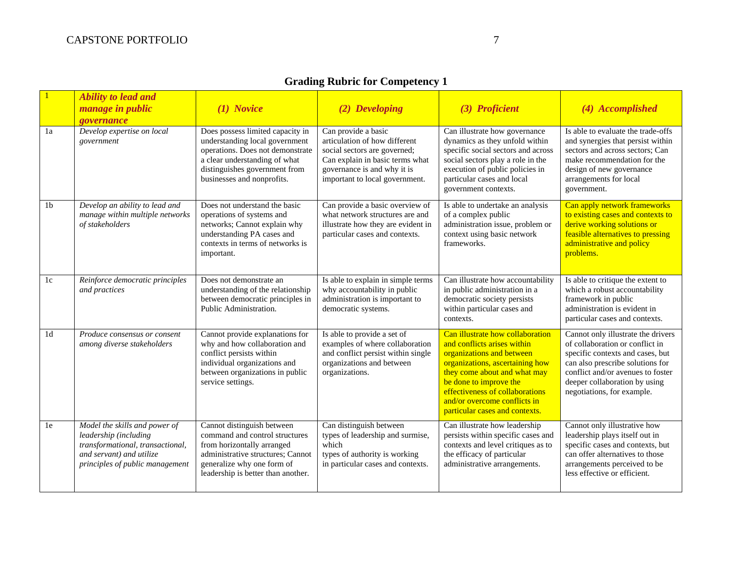# **Grading Rubric for Competency 1**

<span id="page-6-0"></span>

|                | <b>Ability to lead and</b><br>manage in public<br>governance                                                                                              | (1) Novice                                                                                                                                                                                             | (2) Developing                                                                                                                                                                           | (3) Proficient                                                                                                                                                                                                                                                                                 | (4) Accomplished                                                                                                                                                                                                                                  |
|----------------|-----------------------------------------------------------------------------------------------------------------------------------------------------------|--------------------------------------------------------------------------------------------------------------------------------------------------------------------------------------------------------|------------------------------------------------------------------------------------------------------------------------------------------------------------------------------------------|------------------------------------------------------------------------------------------------------------------------------------------------------------------------------------------------------------------------------------------------------------------------------------------------|---------------------------------------------------------------------------------------------------------------------------------------------------------------------------------------------------------------------------------------------------|
| 1a             | Develop expertise on local<br>government                                                                                                                  | Does possess limited capacity in<br>understanding local government<br>operations. Does not demonstrate<br>a clear understanding of what<br>distinguishes government from<br>businesses and nonprofits. | Can provide a basic<br>articulation of how different<br>social sectors are governed;<br>Can explain in basic terms what<br>governance is and why it is<br>important to local government. | Can illustrate how governance<br>dynamics as they unfold within<br>specific social sectors and across<br>social sectors play a role in the<br>execution of public policies in<br>particular cases and local<br>government contexts.                                                            | Is able to evaluate the trade-offs<br>and synergies that persist within<br>sectors and across sectors; Can<br>make recommendation for the<br>design of new governance<br>arrangements for local<br>government.                                    |
| 1 <sub>b</sub> | Develop an ability to lead and<br>manage within multiple networks<br>of stakeholders                                                                      | Does not understand the basic<br>operations of systems and<br>networks; Cannot explain why<br>understanding PA cases and<br>contexts in terms of networks is<br>important.                             | Can provide a basic overview of<br>what network structures are and<br>illustrate how they are evident in<br>particular cases and contexts.                                               | Is able to undertake an analysis<br>of a complex public<br>administration issue, problem or<br>context using basic network<br>frameworks.                                                                                                                                                      | Can apply network frameworks<br>to existing cases and contexts to<br>derive working solutions or<br>feasible alternatives to pressing<br>administrative and policy<br>problems.                                                                   |
| 1c             | Reinforce democratic principles<br>and practices                                                                                                          | Does not demonstrate an<br>understanding of the relationship<br>between democratic principles in<br>Public Administration.                                                                             | Is able to explain in simple terms<br>why accountability in public<br>administration is important to<br>democratic systems.                                                              | Can illustrate how accountability<br>in public administration in a<br>democratic society persists<br>within particular cases and<br>contexts.                                                                                                                                                  | Is able to critique the extent to<br>which a robust accountability<br>framework in public<br>administration is evident in<br>particular cases and contexts.                                                                                       |
| 1 <sub>d</sub> | Produce consensus or consent<br>among diverse stakeholders                                                                                                | Cannot provide explanations for<br>why and how collaboration and<br>conflict persists within<br>individual organizations and<br>between organizations in public<br>service settings.                   | Is able to provide a set of<br>examples of where collaboration<br>and conflict persist within single<br>organizations and between<br>organizations.                                      | Can illustrate how collaboration<br>and conflicts arises within<br>organizations and between<br>organizations, ascertaining how<br>they come about and what may<br>be done to improve the<br>effectiveness of collaborations<br>and/or overcome conflicts in<br>particular cases and contexts. | Cannot only illustrate the drivers<br>of collaboration or conflict in<br>specific contexts and cases, but<br>can also prescribe solutions for<br>conflict and/or avenues to foster<br>deeper collaboration by using<br>negotiations, for example. |
| 1e             | Model the skills and power of<br>leadership (including<br>transformational, transactional,<br>and servant) and utilize<br>principles of public management | Cannot distinguish between<br>command and control structures<br>from horizontally arranged<br>administrative structures; Cannot<br>generalize why one form of<br>leadership is better than another.    | Can distinguish between<br>types of leadership and surmise,<br>which<br>types of authority is working<br>in particular cases and contexts.                                               | Can illustrate how leadership<br>persists within specific cases and<br>contexts and level critiques as to<br>the efficacy of particular<br>administrative arrangements.                                                                                                                        | Cannot only illustrative how<br>leadership plays itself out in<br>specific cases and contexts, but<br>can offer alternatives to those<br>arrangements perceived to be<br>less effective or efficient.                                             |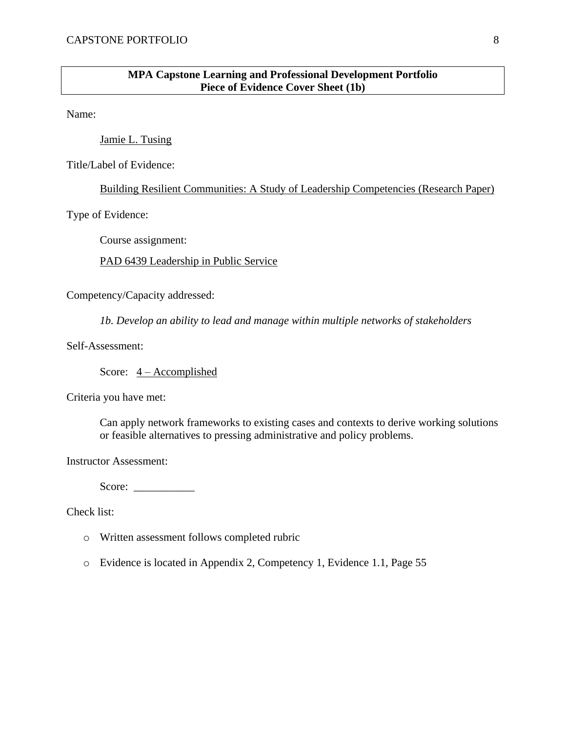Name:

Jamie L. Tusing

Title/Label of Evidence:

Building Resilient Communities: A Study of Leadership Competencies (Research Paper)

Type of Evidence:

Course assignment:

PAD 6439 Leadership in Public Service

Competency/Capacity addressed:

*1b. Develop an ability to lead and manage within multiple networks of stakeholders*

Self-Assessment:

Score:  $\frac{4 - \text{Accomplished}}{}$ 

Criteria you have met:

Can apply network frameworks to existing cases and contexts to derive working solutions or feasible alternatives to pressing administrative and policy problems.

Instructor Assessment:

Score: \_\_\_\_\_\_\_\_\_\_\_

Check list:

- o Written assessment follows completed rubric
- o Evidence is located in Appendix 2, Competency 1, Evidence 1.1, Page 55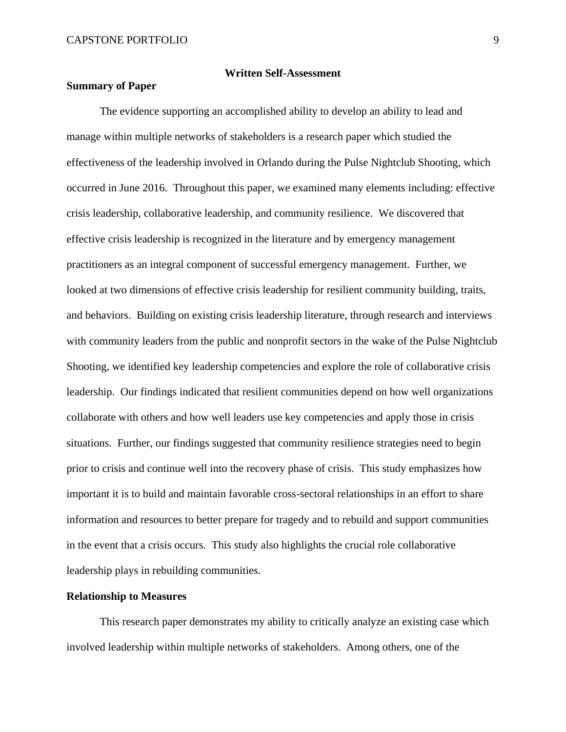#### **Written Self-Assessment**

# **Summary of Paper**

The evidence supporting an accomplished ability to develop an ability to lead and manage within multiple networks of stakeholders is a research paper which studied the effectiveness of the leadership involved in Orlando during the Pulse Nightclub Shooting, which occurred in June 2016. Throughout this paper, we examined many elements including: effective crisis leadership, collaborative leadership, and community resilience. We discovered that effective crisis leadership is recognized in the literature and by emergency management practitioners as an integral component of successful emergency management. Further, we looked at two dimensions of effective crisis leadership for resilient community building, traits, and behaviors. Building on existing crisis leadership literature, through research and interviews with community leaders from the public and nonprofit sectors in the wake of the Pulse Nightclub Shooting, we identified key leadership competencies and explore the role of collaborative crisis leadership. Our findings indicated that resilient communities depend on how well organizations collaborate with others and how well leaders use key competencies and apply those in crisis situations. Further, our findings suggested that community resilience strategies need to begin prior to crisis and continue well into the recovery phase of crisis. This study emphasizes how important it is to build and maintain favorable cross-sectoral relationships in an effort to share information and resources to better prepare for tragedy and to rebuild and support communities in the event that a crisis occurs. This study also highlights the crucial role collaborative leadership plays in rebuilding communities.

### **Relationship to Measures**

This research paper demonstrates my ability to critically analyze an existing case which involved leadership within multiple networks of stakeholders. Among others, one of the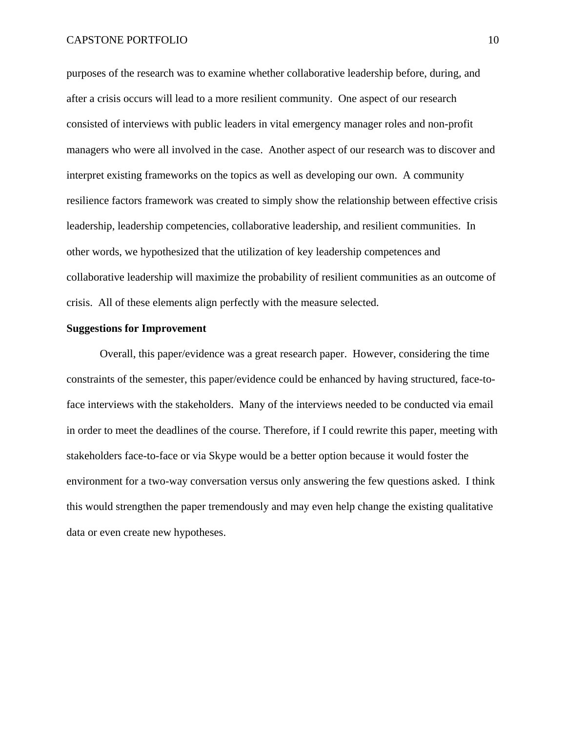purposes of the research was to examine whether collaborative leadership before, during, and after a crisis occurs will lead to a more resilient community. One aspect of our research consisted of interviews with public leaders in vital emergency manager roles and non-profit managers who were all involved in the case. Another aspect of our research was to discover and interpret existing frameworks on the topics as well as developing our own. A community resilience factors framework was created to simply show the relationship between effective crisis leadership, leadership competencies, collaborative leadership, and resilient communities. In other words, we hypothesized that the utilization of key leadership competences and collaborative leadership will maximize the probability of resilient communities as an outcome of crisis. All of these elements align perfectly with the measure selected.

#### **Suggestions for Improvement**

Overall, this paper/evidence was a great research paper. However, considering the time constraints of the semester, this paper/evidence could be enhanced by having structured, face-toface interviews with the stakeholders. Many of the interviews needed to be conducted via email in order to meet the deadlines of the course. Therefore, if I could rewrite this paper, meeting with stakeholders face-to-face or via Skype would be a better option because it would foster the environment for a two-way conversation versus only answering the few questions asked. I think this would strengthen the paper tremendously and may even help change the existing qualitative data or even create new hypotheses.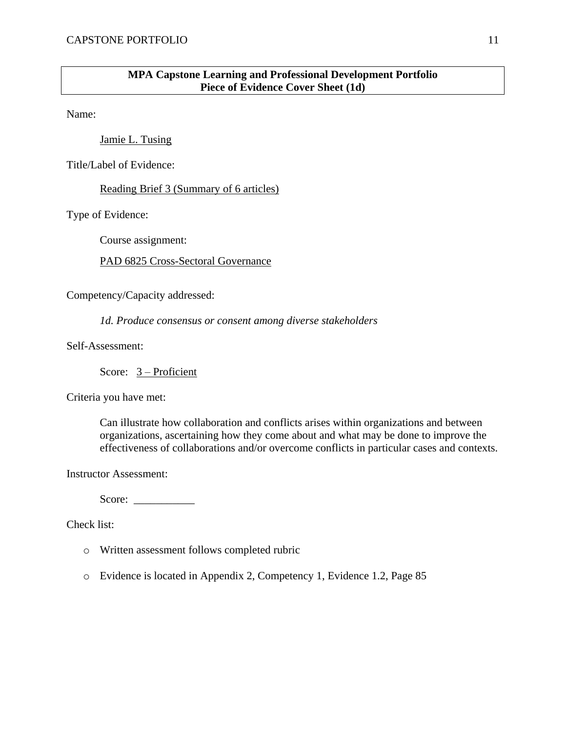Name:

Jamie L. Tusing

Title/Label of Evidence:

# Reading Brief 3 (Summary of 6 articles)

Type of Evidence:

Course assignment:

# PAD 6825 Cross-Sectoral Governance

Competency/Capacity addressed:

*1d. Produce consensus or consent among diverse stakeholders*

Self-Assessment:

Score: 3 – Proficient

Criteria you have met:

Can illustrate how collaboration and conflicts arises within organizations and between organizations, ascertaining how they come about and what may be done to improve the effectiveness of collaborations and/or overcome conflicts in particular cases and contexts.

Instructor Assessment:

Score:

Check list:

- o Written assessment follows completed rubric
- o Evidence is located in Appendix 2, Competency 1, Evidence 1.2, Page 85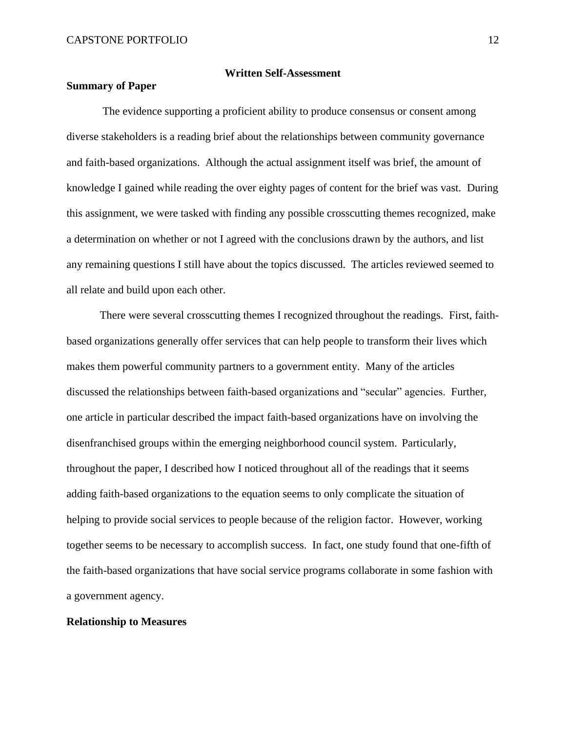#### **Written Self-Assessment**

## **Summary of Paper**

The evidence supporting a proficient ability to produce consensus or consent among diverse stakeholders is a reading brief about the relationships between community governance and faith-based organizations. Although the actual assignment itself was brief, the amount of knowledge I gained while reading the over eighty pages of content for the brief was vast. During this assignment, we were tasked with finding any possible crosscutting themes recognized, make a determination on whether or not I agreed with the conclusions drawn by the authors, and list any remaining questions I still have about the topics discussed. The articles reviewed seemed to all relate and build upon each other.

There were several crosscutting themes I recognized throughout the readings. First, faithbased organizations generally offer services that can help people to transform their lives which makes them powerful community partners to a government entity. Many of the articles discussed the relationships between faith-based organizations and "secular" agencies. Further, one article in particular described the impact faith-based organizations have on involving the disenfranchised groups within the emerging neighborhood council system. Particularly, throughout the paper, I described how I noticed throughout all of the readings that it seems adding faith-based organizations to the equation seems to only complicate the situation of helping to provide social services to people because of the religion factor. However, working together seems to be necessary to accomplish success. In fact, one study found that one-fifth of the faith-based organizations that have social service programs collaborate in some fashion with a government agency.

# **Relationship to Measures**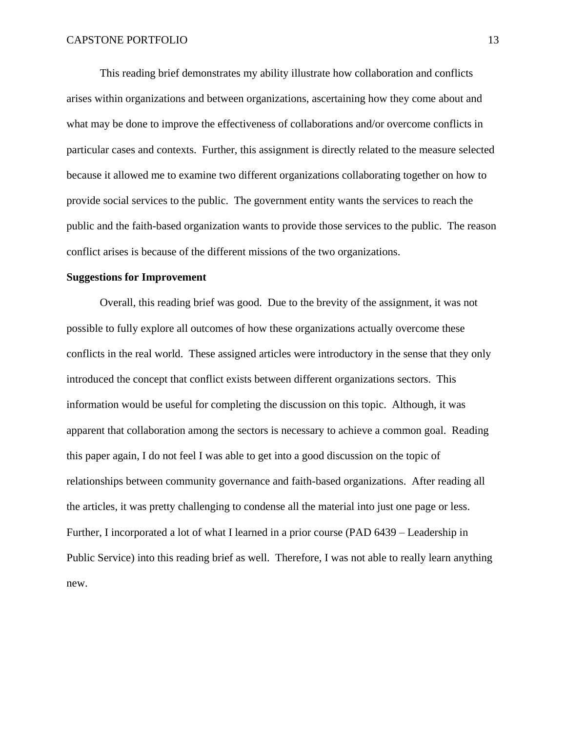This reading brief demonstrates my ability illustrate how collaboration and conflicts arises within organizations and between organizations, ascertaining how they come about and what may be done to improve the effectiveness of collaborations and/or overcome conflicts in particular cases and contexts. Further, this assignment is directly related to the measure selected because it allowed me to examine two different organizations collaborating together on how to provide social services to the public. The government entity wants the services to reach the public and the faith-based organization wants to provide those services to the public. The reason conflict arises is because of the different missions of the two organizations.

#### **Suggestions for Improvement**

Overall, this reading brief was good. Due to the brevity of the assignment, it was not possible to fully explore all outcomes of how these organizations actually overcome these conflicts in the real world. These assigned articles were introductory in the sense that they only introduced the concept that conflict exists between different organizations sectors. This information would be useful for completing the discussion on this topic. Although, it was apparent that collaboration among the sectors is necessary to achieve a common goal. Reading this paper again, I do not feel I was able to get into a good discussion on the topic of relationships between community governance and faith-based organizations. After reading all the articles, it was pretty challenging to condense all the material into just one page or less. Further, I incorporated a lot of what I learned in a prior course (PAD 6439 – Leadership in Public Service) into this reading brief as well. Therefore, I was not able to really learn anything new.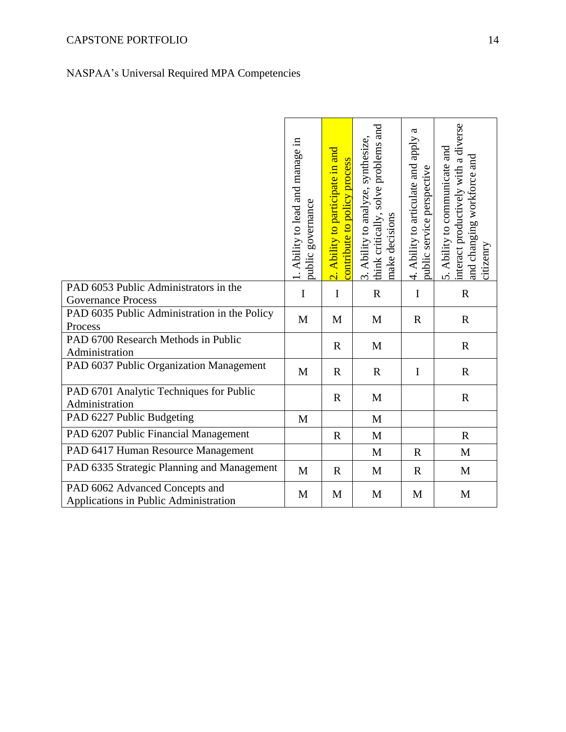# CAPSTONE PORTFOLIO 14

# <span id="page-13-0"></span>NASPAA's Universal Required MPA Competencies

|                                                                         | 1. Ability to lead and manage in<br>public governance | 2. Ability to participate in and<br>contribute to policy process | think critically, solve problems and<br>3. Ability to analyze, synthesize,<br>make decisions | ß<br>4. Ability to articulate and apply<br>public service perspective | interact productively with a diverse<br>5. Ability to communicate and<br>and changing workforce and<br>citizenry |
|-------------------------------------------------------------------------|-------------------------------------------------------|------------------------------------------------------------------|----------------------------------------------------------------------------------------------|-----------------------------------------------------------------------|------------------------------------------------------------------------------------------------------------------|
| PAD 6053 Public Administrators in the                                   | $\mathbf I$                                           | $\mathbf I$                                                      | $\mathbf R$                                                                                  | $\mathbf I$                                                           | $\mathbf R$                                                                                                      |
| <b>Governance Process</b>                                               |                                                       |                                                                  |                                                                                              |                                                                       |                                                                                                                  |
| PAD 6035 Public Administration in the Policy<br>Process                 | M                                                     | M                                                                | M                                                                                            | $\mathbb{R}$                                                          | $\mathbf R$                                                                                                      |
| PAD 6700 Research Methods in Public<br>Administration                   |                                                       | $\mathbf R$                                                      | M                                                                                            |                                                                       | $\mathbf R$                                                                                                      |
| PAD 6037 Public Organization Management                                 | M                                                     | $\mathbf R$                                                      | $\mathbf R$                                                                                  | I                                                                     | $\mathbf R$                                                                                                      |
| PAD 6701 Analytic Techniques for Public<br>Administration               |                                                       | $\mathbf R$                                                      | M                                                                                            |                                                                       | $\mathbf R$                                                                                                      |
| PAD 6227 Public Budgeting                                               | M                                                     |                                                                  | M                                                                                            |                                                                       |                                                                                                                  |
| PAD 6207 Public Financial Management                                    |                                                       | $\mathbf R$                                                      | M                                                                                            |                                                                       | $\mathbf R$                                                                                                      |
| PAD 6417 Human Resource Management                                      |                                                       |                                                                  | M                                                                                            | $\mathbf R$                                                           | M                                                                                                                |
| PAD 6335 Strategic Planning and Management                              | M                                                     | $\mathbf R$                                                      | M                                                                                            | $\mathbf R$                                                           | M                                                                                                                |
| PAD 6062 Advanced Concepts and<br>Applications in Public Administration | M                                                     | M                                                                | M                                                                                            | M                                                                     | M                                                                                                                |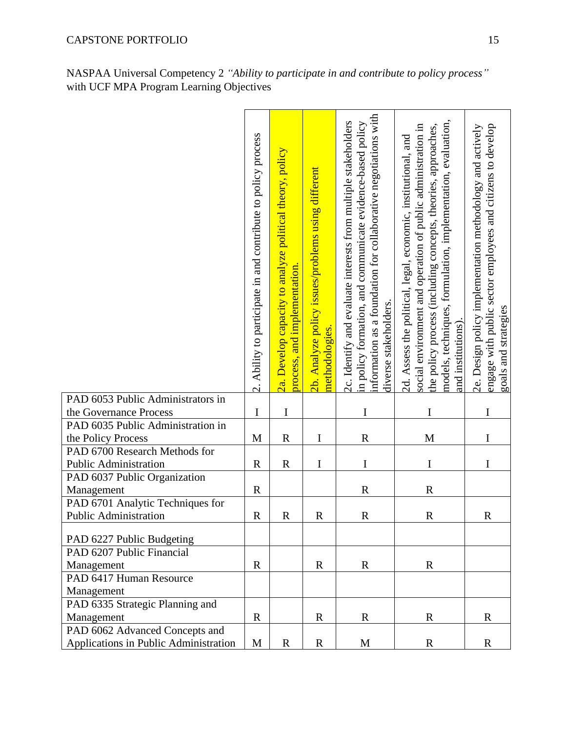<span id="page-14-0"></span>NASPAA Universal Competency 2 *"Ability to participate in and contribute to policy process"* with UCF MPA Program Learning Objectives

|                                                             | 2. Ability to participate in and contribute to policy process | 2a. Develop capacity to analyze political theory, policy<br>process, and implementation | 2b. Analyze policy issues/problems using different<br>methodologies. | information as a foundation for collaborative negotiations with<br>2c. Identify and evaluate interests from multiple stakeholders<br>in policy formation, and communicate evidence-based policy<br>diverse stakeholders. | models, techniques, formulation, implementation, evaluation,<br>the policy process (including concepts, theories, approaches,<br>social environment and operation of public administration in<br>2d. Assess the political, legal, economic, institutional, and<br>and institutions) | engage with public sector employees and citizens to develop<br>2e. Design policy implementation methodology and actively<br>goals and strategies |
|-------------------------------------------------------------|---------------------------------------------------------------|-----------------------------------------------------------------------------------------|----------------------------------------------------------------------|--------------------------------------------------------------------------------------------------------------------------------------------------------------------------------------------------------------------------|-------------------------------------------------------------------------------------------------------------------------------------------------------------------------------------------------------------------------------------------------------------------------------------|--------------------------------------------------------------------------------------------------------------------------------------------------|
| PAD 6053 Public Administrators in<br>the Governance Process | $\bf I$                                                       | I                                                                                       |                                                                      | $\mathbf I$                                                                                                                                                                                                              | I                                                                                                                                                                                                                                                                                   | I                                                                                                                                                |
| PAD 6035 Public Administration in                           |                                                               |                                                                                         |                                                                      |                                                                                                                                                                                                                          |                                                                                                                                                                                                                                                                                     |                                                                                                                                                  |
| the Policy Process                                          | M                                                             | $\mathbf R$                                                                             | I                                                                    | $\mathbf R$                                                                                                                                                                                                              | M                                                                                                                                                                                                                                                                                   | I                                                                                                                                                |
| PAD 6700 Research Methods for                               |                                                               |                                                                                         |                                                                      |                                                                                                                                                                                                                          |                                                                                                                                                                                                                                                                                     |                                                                                                                                                  |
| Public Administration                                       | $\mathbf R$                                                   | $\mathbb{R}$                                                                            | $\bf I$                                                              | $\mathbf I$                                                                                                                                                                                                              | $\bf I$                                                                                                                                                                                                                                                                             | I                                                                                                                                                |
| PAD 6037 Public Organization<br>Management                  | $\mathbf R$                                                   |                                                                                         |                                                                      | $\mathbf R$                                                                                                                                                                                                              | $\mathbf R$                                                                                                                                                                                                                                                                         |                                                                                                                                                  |
| PAD 6701 Analytic Techniques for                            |                                                               |                                                                                         |                                                                      |                                                                                                                                                                                                                          |                                                                                                                                                                                                                                                                                     |                                                                                                                                                  |
| <b>Public Administration</b>                                | $\mathbf R$                                                   | $\mathbf R$                                                                             | ${\bf R}$                                                            | $\mathbf R$                                                                                                                                                                                                              | $\mathbf R$                                                                                                                                                                                                                                                                         | $\mathbf R$                                                                                                                                      |
|                                                             |                                                               |                                                                                         |                                                                      |                                                                                                                                                                                                                          |                                                                                                                                                                                                                                                                                     |                                                                                                                                                  |
| PAD 6227 Public Budgeting                                   |                                                               |                                                                                         |                                                                      |                                                                                                                                                                                                                          |                                                                                                                                                                                                                                                                                     |                                                                                                                                                  |
| PAD 6207 Public Financial                                   |                                                               |                                                                                         |                                                                      |                                                                                                                                                                                                                          |                                                                                                                                                                                                                                                                                     |                                                                                                                                                  |
| Management                                                  | $\mathbf R$                                                   |                                                                                         | $\mathbb{R}$                                                         | $\mathbf R$                                                                                                                                                                                                              | $\mathbf{R}$                                                                                                                                                                                                                                                                        |                                                                                                                                                  |
| PAD 6417 Human Resource                                     |                                                               |                                                                                         |                                                                      |                                                                                                                                                                                                                          |                                                                                                                                                                                                                                                                                     |                                                                                                                                                  |
| Management                                                  |                                                               |                                                                                         |                                                                      |                                                                                                                                                                                                                          |                                                                                                                                                                                                                                                                                     |                                                                                                                                                  |
| PAD 6335 Strategic Planning and                             |                                                               |                                                                                         |                                                                      |                                                                                                                                                                                                                          |                                                                                                                                                                                                                                                                                     |                                                                                                                                                  |
| Management<br>PAD 6062 Advanced Concepts and                | $\mathbf R$                                                   |                                                                                         | $\mathbf R$                                                          | $\mathbf R$                                                                                                                                                                                                              | $\mathbb{R}$                                                                                                                                                                                                                                                                        | $\mathbf{R}$                                                                                                                                     |
| Applications in Public Administration                       | M                                                             | $\mathbf R$                                                                             | $\mathbf R$                                                          | M                                                                                                                                                                                                                        | $\mathbf R$                                                                                                                                                                                                                                                                         | $\mathbf R$                                                                                                                                      |
|                                                             |                                                               |                                                                                         |                                                                      |                                                                                                                                                                                                                          |                                                                                                                                                                                                                                                                                     |                                                                                                                                                  |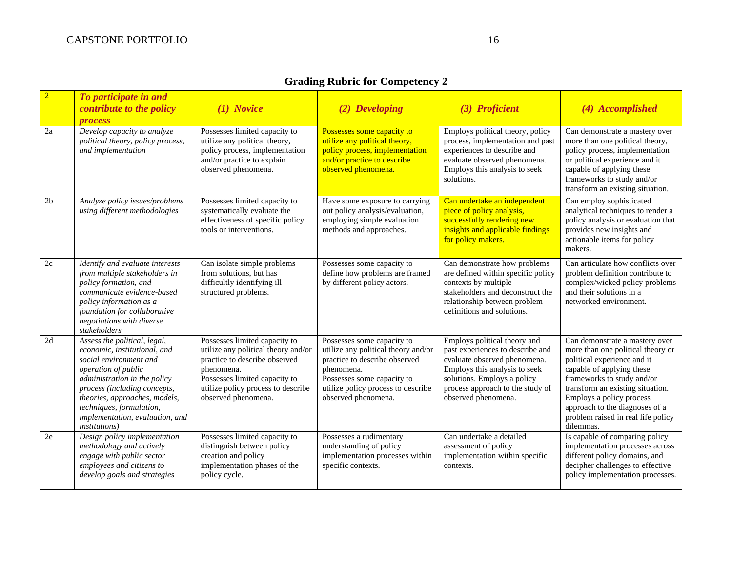# **Grading Rubric for Competency 2**

<span id="page-15-0"></span>

| $\overline{2}$ | To participate in and<br>contribute to the policy<br><i>process</i>                                                                                                                                                                                                                                    | (1) Novice                                                                                                                                                                                                        | (2) Developing                                                                                                                                                                                              | (3) Proficient                                                                                                                                                                                                              | (4) Accomplished                                                                                                                                                                                                                                                                                                   |
|----------------|--------------------------------------------------------------------------------------------------------------------------------------------------------------------------------------------------------------------------------------------------------------------------------------------------------|-------------------------------------------------------------------------------------------------------------------------------------------------------------------------------------------------------------------|-------------------------------------------------------------------------------------------------------------------------------------------------------------------------------------------------------------|-----------------------------------------------------------------------------------------------------------------------------------------------------------------------------------------------------------------------------|--------------------------------------------------------------------------------------------------------------------------------------------------------------------------------------------------------------------------------------------------------------------------------------------------------------------|
| 2a             | Develop capacity to analyze<br>political theory, policy process,<br>and implementation                                                                                                                                                                                                                 | Possesses limited capacity to<br>utilize any political theory,<br>policy process, implementation<br>and/or practice to explain<br>observed phenomena.                                                             | Possesses some capacity to<br>utilize any political theory,<br>policy process, implementation<br>and/or practice to describe<br>observed phenomena.                                                         | Employs political theory, policy<br>process, implementation and past<br>experiences to describe and<br>evaluate observed phenomena.<br>Employs this analysis to seek<br>solutions.                                          | Can demonstrate a mastery over<br>more than one political theory,<br>policy process, implementation<br>or political experience and it<br>capable of applying these<br>frameworks to study and/or<br>transform an existing situation.                                                                               |
| 2 <sub>b</sub> | Analyze policy issues/problems<br>using different methodologies                                                                                                                                                                                                                                        | Possesses limited capacity to<br>systematically evaluate the<br>effectiveness of specific policy<br>tools or interventions.                                                                                       | Have some exposure to carrying<br>out policy analysis/evaluation,<br>employing simple evaluation<br>methods and approaches.                                                                                 | Can undertake an independent<br>piece of policy analysis,<br>successfully rendering new<br>insights and applicable findings<br>for policy makers.                                                                           | Can employ sophisticated<br>analytical techniques to render a<br>policy analysis or evaluation that<br>provides new insights and<br>actionable items for policy<br>makers.                                                                                                                                         |
| 2c             | Identify and evaluate interests<br>from multiple stakeholders in<br>policy formation, and<br>communicate evidence-based<br>policy information as a<br>foundation for collaborative<br>negotiations with diverse<br>stakeholders                                                                        | Can isolate simple problems<br>from solutions, but has<br>difficultly identifying ill<br>structured problems.                                                                                                     | Possesses some capacity to<br>define how problems are framed<br>by different policy actors.                                                                                                                 | Can demonstrate how problems<br>are defined within specific policy<br>contexts by multiple<br>stakeholders and deconstruct the<br>relationship between problem<br>definitions and solutions.                                | Can articulate how conflicts over<br>problem definition contribute to<br>complex/wicked policy problems<br>and their solutions in a<br>networked environment.                                                                                                                                                      |
| 2d             | Assess the political, legal,<br>economic, institutional, and<br>social environment and<br>operation of public<br>administration in the policy<br>process (including concepts,<br>theories, approaches, models,<br>techniques, formulation,<br>implementation, evaluation, and<br><i>institutions</i> ) | Possesses limited capacity to<br>utilize any political theory and/or<br>practice to describe observed<br>phenomena.<br>Possesses limited capacity to<br>utilize policy process to describe<br>observed phenomena. | Possesses some capacity to<br>utilize any political theory and/or<br>practice to describe observed<br>phenomena.<br>Possesses some capacity to<br>utilize policy process to describe<br>observed phenomena. | Employs political theory and<br>past experiences to describe and<br>evaluate observed phenomena.<br>Employs this analysis to seek<br>solutions. Employs a policy<br>process approach to the study of<br>observed phenomena. | Can demonstrate a mastery over<br>more than one political theory or<br>political experience and it<br>capable of applying these<br>frameworks to study and/or<br>transform an existing situation.<br>Employs a policy process<br>approach to the diagnoses of a<br>problem raised in real life policy<br>dilemmas. |
| 2e             | Design policy implementation<br>methodology and actively<br>engage with public sector<br>employees and citizens to<br>develop goals and strategies                                                                                                                                                     | Possesses limited capacity to<br>distinguish between policy<br>creation and policy<br>implementation phases of the<br>policy cycle.                                                                               | Possesses a rudimentary<br>understanding of policy<br>implementation processes within<br>specific contexts.                                                                                                 | Can undertake a detailed<br>assessment of policy<br>implementation within specific<br>contexts.                                                                                                                             | Is capable of comparing policy<br>implementation processes across<br>different policy domains, and<br>decipher challenges to effective<br>policy implementation processes.                                                                                                                                         |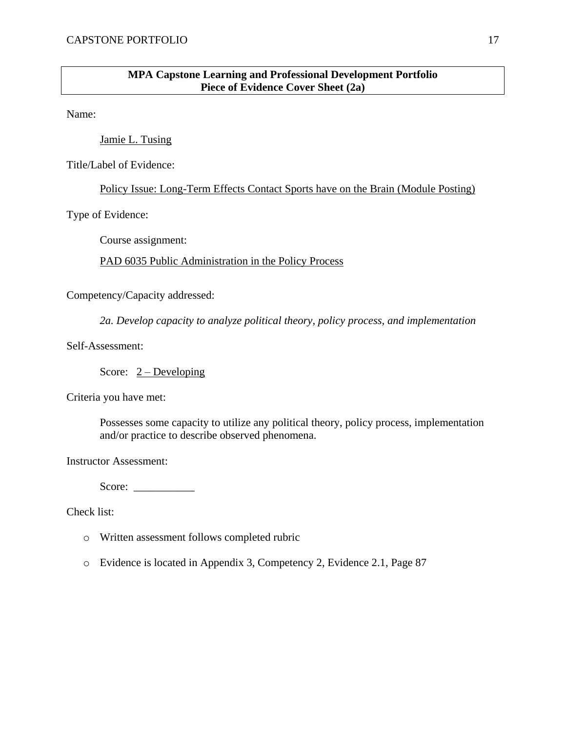Name:

Jamie L. Tusing

Title/Label of Evidence:

# Policy Issue: Long-Term Effects Contact Sports have on the Brain (Module Posting)

Type of Evidence:

Course assignment:

# PAD 6035 Public Administration in the Policy Process

# Competency/Capacity addressed:

*2a. Develop capacity to analyze political theory, policy process, and implementation*

Self-Assessment:

Score: 2 – Developing

Criteria you have met:

Possesses some capacity to utilize any political theory, policy process, implementation and/or practice to describe observed phenomena.

Instructor Assessment:

Score: \_\_\_\_\_\_\_\_\_\_\_

Check list:

- o Written assessment follows completed rubric
- o Evidence is located in Appendix 3, Competency 2, Evidence 2.1, Page 87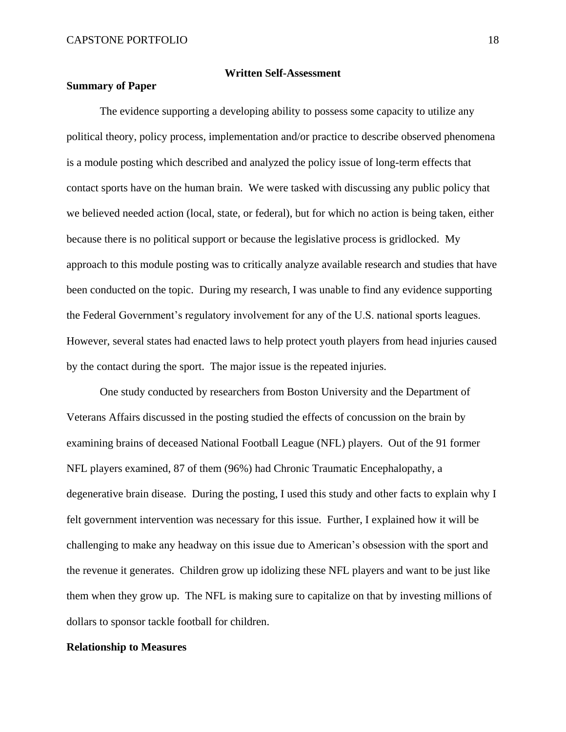#### **Written Self-Assessment**

## **Summary of Paper**

The evidence supporting a developing ability to possess some capacity to utilize any political theory, policy process, implementation and/or practice to describe observed phenomena is a module posting which described and analyzed the policy issue of long-term effects that contact sports have on the human brain. We were tasked with discussing any public policy that we believed needed action (local, state, or federal), but for which no action is being taken, either because there is no political support or because the legislative process is gridlocked. My approach to this module posting was to critically analyze available research and studies that have been conducted on the topic. During my research, I was unable to find any evidence supporting the Federal Government's regulatory involvement for any of the U.S. national sports leagues. However, several states had enacted laws to help protect youth players from head injuries caused by the contact during the sport. The major issue is the repeated injuries.

One study conducted by researchers from Boston University and the Department of Veterans Affairs discussed in the posting studied the effects of concussion on the brain by examining brains of deceased National Football League (NFL) players. Out of the 91 former NFL players examined, 87 of them (96%) had Chronic Traumatic Encephalopathy, a degenerative brain disease. During the posting, I used this study and other facts to explain why I felt government intervention was necessary for this issue. Further, I explained how it will be challenging to make any headway on this issue due to American's obsession with the sport and the revenue it generates. Children grow up idolizing these NFL players and want to be just like them when they grow up. The NFL is making sure to capitalize on that by investing millions of dollars to sponsor tackle football for children.

## **Relationship to Measures**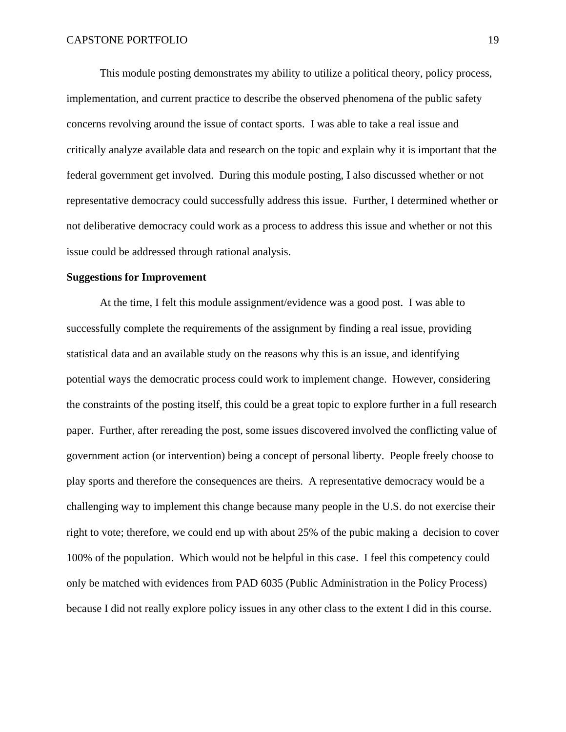This module posting demonstrates my ability to utilize a political theory, policy process, implementation, and current practice to describe the observed phenomena of the public safety concerns revolving around the issue of contact sports. I was able to take a real issue and critically analyze available data and research on the topic and explain why it is important that the federal government get involved. During this module posting, I also discussed whether or not representative democracy could successfully address this issue. Further, I determined whether or not deliberative democracy could work as a process to address this issue and whether or not this issue could be addressed through rational analysis.

#### **Suggestions for Improvement**

At the time, I felt this module assignment/evidence was a good post. I was able to successfully complete the requirements of the assignment by finding a real issue, providing statistical data and an available study on the reasons why this is an issue, and identifying potential ways the democratic process could work to implement change. However, considering the constraints of the posting itself, this could be a great topic to explore further in a full research paper. Further, after rereading the post, some issues discovered involved the conflicting value of government action (or intervention) being a concept of personal liberty. People freely choose to play sports and therefore the consequences are theirs. A representative democracy would be a challenging way to implement this change because many people in the U.S. do not exercise their right to vote; therefore, we could end up with about 25% of the pubic making a decision to cover 100% of the population. Which would not be helpful in this case. I feel this competency could only be matched with evidences from PAD 6035 (Public Administration in the Policy Process) because I did not really explore policy issues in any other class to the extent I did in this course.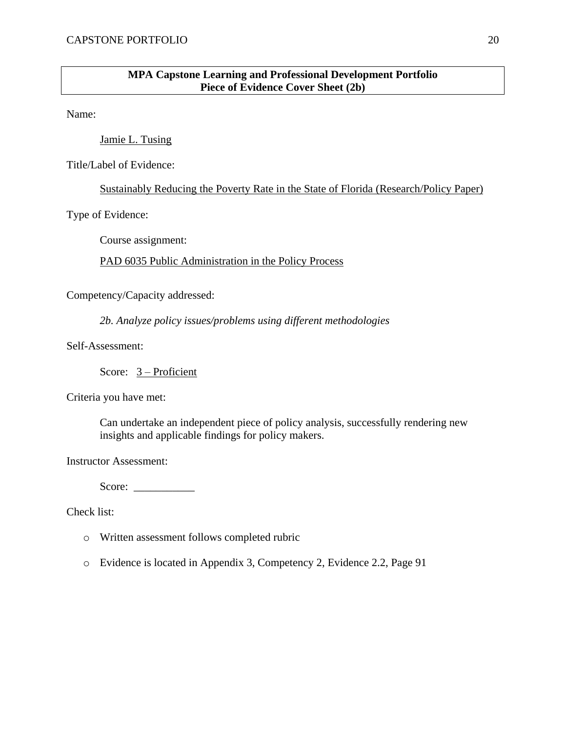Name:

Jamie L. Tusing

Title/Label of Evidence:

Sustainably Reducing the Poverty Rate in the State of Florida (Research/Policy Paper)

Type of Evidence:

Course assignment:

PAD 6035 Public Administration in the Policy Process

# Competency/Capacity addressed:

*2b. Analyze policy issues/problems using different methodologies*

Self-Assessment:

Score: 3 – Proficient

Criteria you have met:

Can undertake an independent piece of policy analysis, successfully rendering new insights and applicable findings for policy makers.

Instructor Assessment:

Score: \_\_\_\_\_\_\_\_\_\_\_

Check list:

- o Written assessment follows completed rubric
- o Evidence is located in Appendix 3, Competency 2, Evidence 2.2, Page 91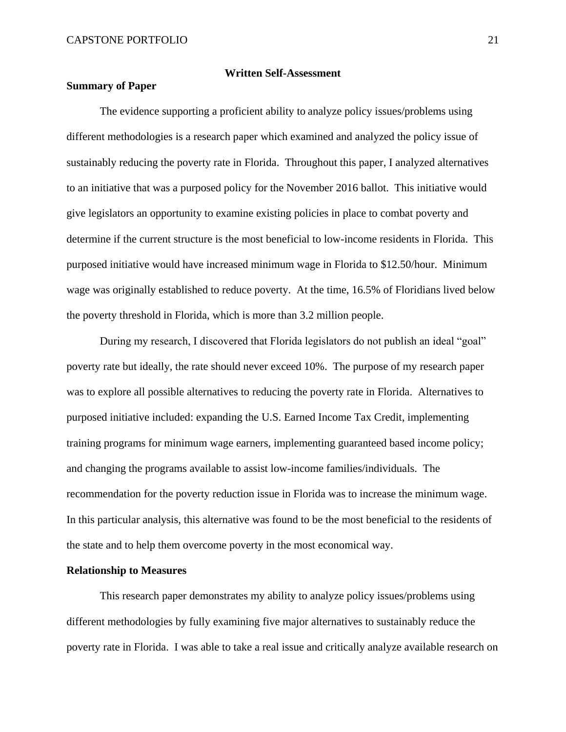#### **Written Self-Assessment**

## **Summary of Paper**

The evidence supporting a proficient ability to analyze policy issues/problems using different methodologies is a research paper which examined and analyzed the policy issue of sustainably reducing the poverty rate in Florida. Throughout this paper, I analyzed alternatives to an initiative that was a purposed policy for the November 2016 ballot. This initiative would give legislators an opportunity to examine existing policies in place to combat poverty and determine if the current structure is the most beneficial to low-income residents in Florida. This purposed initiative would have increased minimum wage in Florida to \$12.50/hour. Minimum wage was originally established to reduce poverty. At the time, 16.5% of Floridians lived below the poverty threshold in Florida, which is more than 3.2 million people.

During my research, I discovered that Florida legislators do not publish an ideal "goal" poverty rate but ideally, the rate should never exceed 10%. The purpose of my research paper was to explore all possible alternatives to reducing the poverty rate in Florida. Alternatives to purposed initiative included: expanding the U.S. Earned Income Tax Credit, implementing training programs for minimum wage earners, implementing guaranteed based income policy; and changing the programs available to assist low-income families/individuals. The recommendation for the poverty reduction issue in Florida was to increase the minimum wage. In this particular analysis, this alternative was found to be the most beneficial to the residents of the state and to help them overcome poverty in the most economical way.

#### **Relationship to Measures**

This research paper demonstrates my ability to analyze policy issues/problems using different methodologies by fully examining five major alternatives to sustainably reduce the poverty rate in Florida. I was able to take a real issue and critically analyze available research on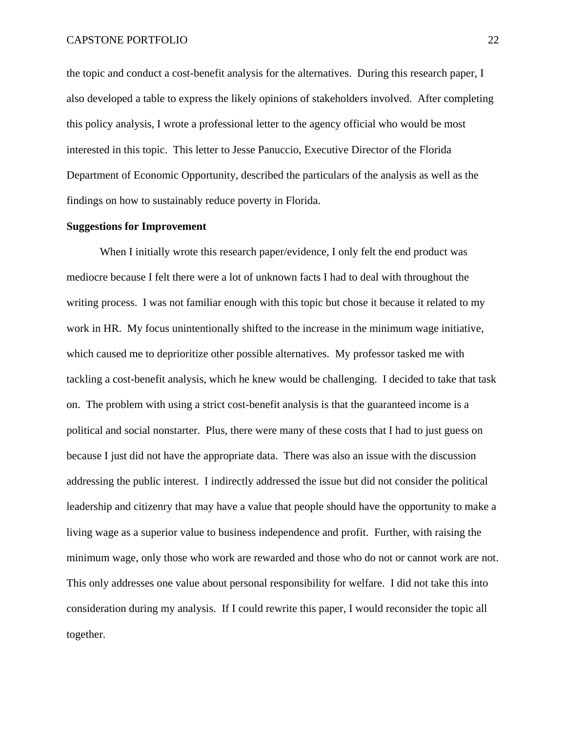the topic and conduct a cost-benefit analysis for the alternatives. During this research paper, I also developed a table to express the likely opinions of stakeholders involved. After completing this policy analysis, I wrote a professional letter to the agency official who would be most interested in this topic. This letter to Jesse Panuccio, Executive Director of the Florida Department of Economic Opportunity, described the particulars of the analysis as well as the findings on how to sustainably reduce poverty in Florida.

## **Suggestions for Improvement**

When I initially wrote this research paper/evidence, I only felt the end product was mediocre because I felt there were a lot of unknown facts I had to deal with throughout the writing process. I was not familiar enough with this topic but chose it because it related to my work in HR. My focus unintentionally shifted to the increase in the minimum wage initiative, which caused me to deprioritize other possible alternatives. My professor tasked me with tackling a cost-benefit analysis, which he knew would be challenging. I decided to take that task on. The problem with using a strict cost-benefit analysis is that the guaranteed income is a political and social nonstarter. Plus, there were many of these costs that I had to just guess on because I just did not have the appropriate data. There was also an issue with the discussion addressing the public interest. I indirectly addressed the issue but did not consider the political leadership and citizenry that may have a value that people should have the opportunity to make a living wage as a superior value to business independence and profit. Further, with raising the minimum wage, only those who work are rewarded and those who do not or cannot work are not. This only addresses one value about personal responsibility for welfare. I did not take this into consideration during my analysis. If I could rewrite this paper, I would reconsider the topic all together.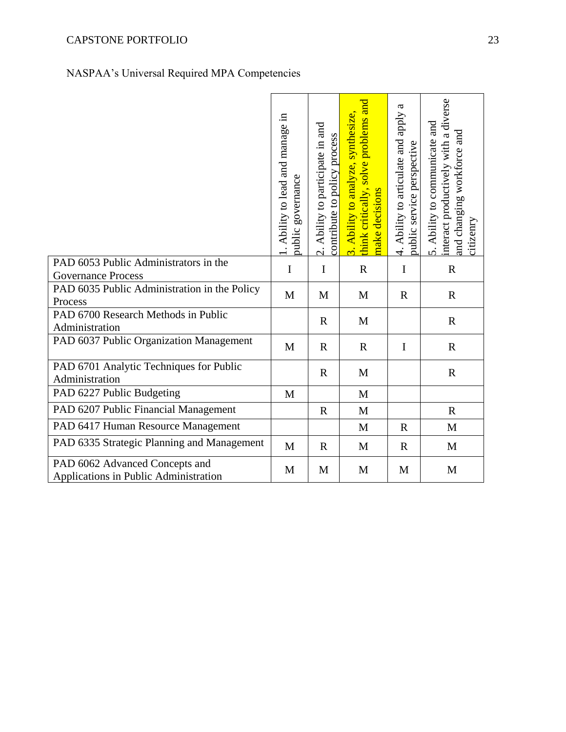# CAPSTONE PORTFOLIO 23

# <span id="page-22-0"></span>NASPAA's Universal Required MPA Competencies

|                                                                         | 1. Ability to lead and manage in<br>governance<br>public | 2. Ability to participate in and<br>contribute to policy process | think critically, solve problems and<br>3. Ability to analyze, synthesize,<br>make decisions | ß<br>4. Ability to articulate and apply<br>public service perspective | interact productively with a diverse<br>5. Ability to communicate and<br>and changing workforce and<br>citizenry |
|-------------------------------------------------------------------------|----------------------------------------------------------|------------------------------------------------------------------|----------------------------------------------------------------------------------------------|-----------------------------------------------------------------------|------------------------------------------------------------------------------------------------------------------|
| PAD 6053 Public Administrators in the<br><b>Governance Process</b>      | $\mathbf I$                                              | $\bf I$                                                          | $\mathbf R$                                                                                  | $\mathbf I$                                                           | $\mathbf R$                                                                                                      |
| PAD 6035 Public Administration in the Policy<br>Process                 | M                                                        | M                                                                | M                                                                                            | $\mathbf{R}$                                                          | $\mathbf R$                                                                                                      |
| PAD 6700 Research Methods in Public<br>Administration                   |                                                          | $\mathbf R$                                                      | M                                                                                            |                                                                       | $\mathbf{R}$                                                                                                     |
| PAD 6037 Public Organization Management                                 | $\mathbf{M}$                                             | $\mathbf R$                                                      | $\mathbf R$                                                                                  | $\mathbf I$                                                           | $\mathbf R$                                                                                                      |
| PAD 6701 Analytic Techniques for Public<br>Administration               |                                                          | $\mathbf R$                                                      | M                                                                                            |                                                                       | $\mathbf{R}$                                                                                                     |
| PAD 6227 Public Budgeting                                               | M                                                        |                                                                  | $\mathbf{M}$                                                                                 |                                                                       |                                                                                                                  |
| PAD 6207 Public Financial Management                                    |                                                          | $\mathbf R$                                                      | M                                                                                            |                                                                       | $\mathbf R$                                                                                                      |
| PAD 6417 Human Resource Management                                      |                                                          |                                                                  | M                                                                                            | $\mathbf R$                                                           | M                                                                                                                |
| PAD 6335 Strategic Planning and Management                              | M                                                        | $\mathbf R$                                                      | $\mathbf M$                                                                                  | $\mathbf R$                                                           | M                                                                                                                |
| PAD 6062 Advanced Concepts and<br>Applications in Public Administration | M                                                        | M                                                                | M                                                                                            | M                                                                     | M                                                                                                                |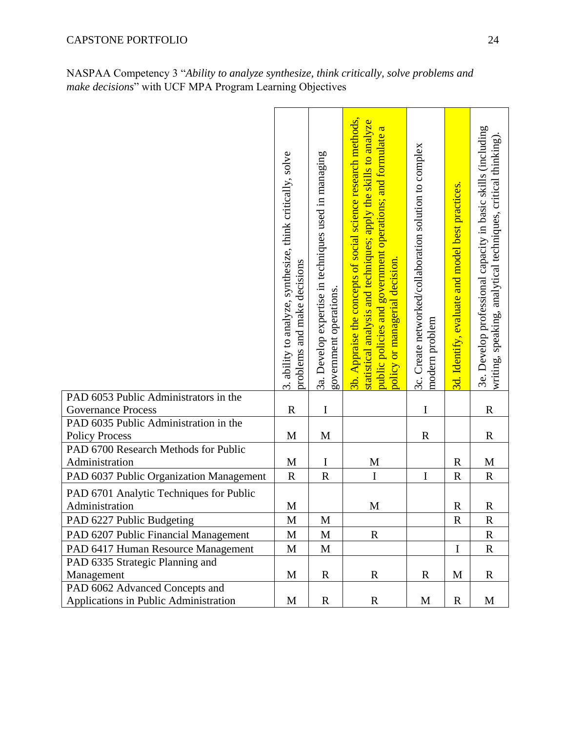<span id="page-23-0"></span>NASPAA Competency 3 "*Ability to analyze synthesize, think critically, solve problems and make decisions*" with UCF MPA Program Learning Objectives

|                                                                         | 3. ability to analyze, synthesize, think critically, solve<br>problems and make decisions | 3a. Develop expertise in techniques used in managing<br>government operations. | 3b. Appraise the concepts of social science research methods,<br>statistical analysis and techniques; apply the skills to analyze<br>public policies and government operations; and formulate a<br>policy or managerial decision. | 3c. Create networked/collaboration solution to complex<br>modern problem | 3d. Identify, evaluate and model best practices. | 3e. Develop professional capacity in basic skills (including<br>writing, speaking, analytical techniques, critical thinking) |
|-------------------------------------------------------------------------|-------------------------------------------------------------------------------------------|--------------------------------------------------------------------------------|-----------------------------------------------------------------------------------------------------------------------------------------------------------------------------------------------------------------------------------|--------------------------------------------------------------------------|--------------------------------------------------|------------------------------------------------------------------------------------------------------------------------------|
| PAD 6053 Public Administrators in the<br><b>Governance Process</b>      | $\mathbf R$                                                                               | $\bf I$                                                                        |                                                                                                                                                                                                                                   | $\mathbf I$                                                              |                                                  | $\mathbf R$                                                                                                                  |
| PAD 6035 Public Administration in the                                   |                                                                                           |                                                                                |                                                                                                                                                                                                                                   |                                                                          |                                                  |                                                                                                                              |
| <b>Policy Process</b>                                                   | M                                                                                         | M                                                                              |                                                                                                                                                                                                                                   | $\mathbf R$                                                              |                                                  | ${\bf R}$                                                                                                                    |
| PAD 6700 Research Methods for Public<br>Administration                  | M                                                                                         | $\mathbf I$                                                                    | $\mathbf M$                                                                                                                                                                                                                       |                                                                          | $\mathbf R$                                      | $\mathbf M$                                                                                                                  |
| PAD 6037 Public Organization Management                                 | $\mathbf R$                                                                               | $\mathbf R$                                                                    | $\rm I$                                                                                                                                                                                                                           | $\mathbf I$                                                              | $\mathbf R$                                      | $\mathbf R$                                                                                                                  |
| PAD 6701 Analytic Techniques for Public<br>Administration               | M                                                                                         |                                                                                | M                                                                                                                                                                                                                                 |                                                                          | $\mathbf R$                                      | $\mathbf R$                                                                                                                  |
| PAD 6227 Public Budgeting                                               | M                                                                                         | M                                                                              |                                                                                                                                                                                                                                   |                                                                          | $\overline{\text{R}}$                            | $\overline{\text{R}}$                                                                                                        |
| PAD 6207 Public Financial Management                                    | M                                                                                         | M                                                                              | $\mathbf R$                                                                                                                                                                                                                       |                                                                          |                                                  | $\mathbf R$                                                                                                                  |
| PAD 6417 Human Resource Management                                      | M                                                                                         | M                                                                              |                                                                                                                                                                                                                                   |                                                                          | $\mathbf I$                                      | $\mathbf R$                                                                                                                  |
| PAD 6335 Strategic Planning and                                         |                                                                                           |                                                                                |                                                                                                                                                                                                                                   |                                                                          |                                                  |                                                                                                                              |
| Management                                                              | M                                                                                         | $\mathbf R$                                                                    | $\mathbf R$                                                                                                                                                                                                                       | $\mathbf R$                                                              | M                                                | $\mathbf R$                                                                                                                  |
| PAD 6062 Advanced Concepts and<br>Applications in Public Administration | M                                                                                         | $\mathbf R$                                                                    | $\mathbf R$                                                                                                                                                                                                                       | M                                                                        | $\mathbf R$                                      | M                                                                                                                            |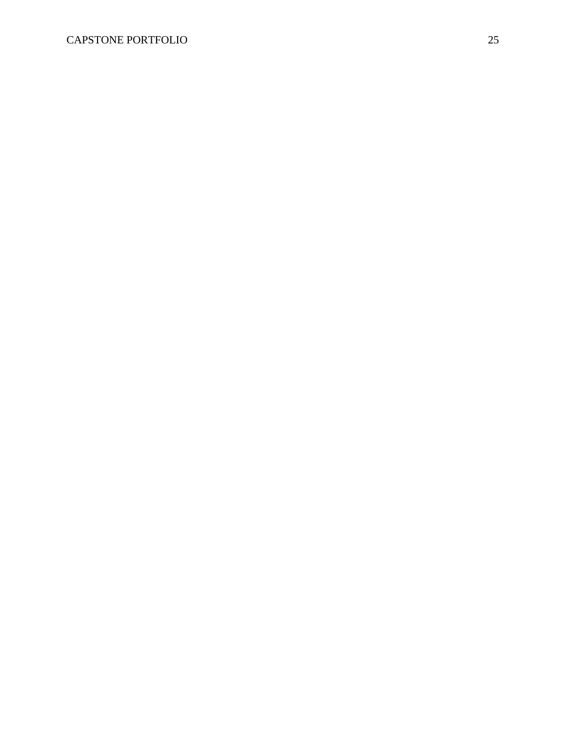# CAPSTONE PORTFOLIO 25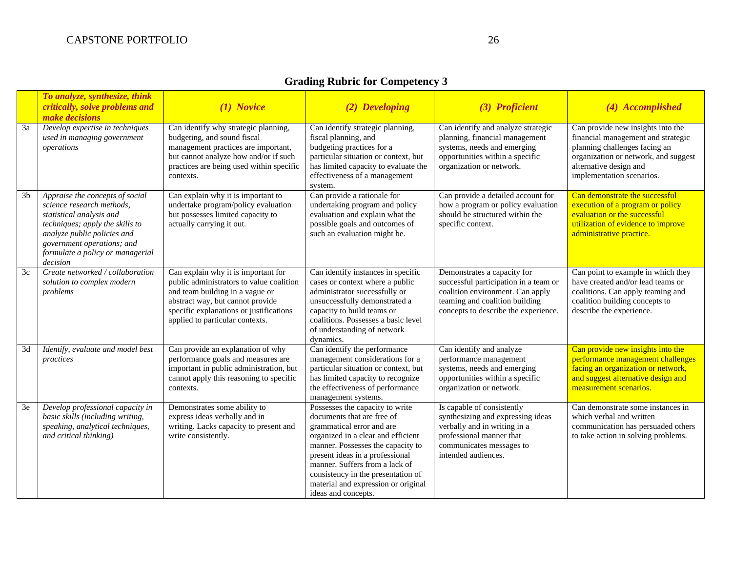# **Grading Rubric for Competency 3**

<span id="page-25-0"></span>

|                | To analyze, synthesize, think<br>critically, solve problems and<br>make decisions                                                                                                                                                        | (1) Novice                                                                                                                                                                                                                           | (2) Developing                                                                                                                                                                                                                                                                                                                                 | (3) Proficient                                                                                                                                                                     | (4) Accomplished                                                                                                                                                                                        |
|----------------|------------------------------------------------------------------------------------------------------------------------------------------------------------------------------------------------------------------------------------------|--------------------------------------------------------------------------------------------------------------------------------------------------------------------------------------------------------------------------------------|------------------------------------------------------------------------------------------------------------------------------------------------------------------------------------------------------------------------------------------------------------------------------------------------------------------------------------------------|------------------------------------------------------------------------------------------------------------------------------------------------------------------------------------|---------------------------------------------------------------------------------------------------------------------------------------------------------------------------------------------------------|
| 3a             | Develop expertise in techniques<br>used in managing government<br>operations                                                                                                                                                             | Can identify why strategic planning,<br>budgeting, and sound fiscal<br>management practices are important,<br>but cannot analyze how and/or if such<br>practices are being used within specific<br>contexts.                         | Can identify strategic planning,<br>fiscal planning, and<br>budgeting practices for a<br>particular situation or context, but<br>has limited capacity to evaluate the<br>effectiveness of a management<br>system.                                                                                                                              | Can identify and analyze strategic<br>planning, financial management<br>systems, needs and emerging<br>opportunities within a specific<br>organization or network.                 | Can provide new insights into the<br>financial management and strategic<br>planning challenges facing an<br>organization or network, and suggest<br>alternative design and<br>implementation scenarios. |
| 3 <sub>b</sub> | Appraise the concepts of social<br>science research methods,<br>statistical analysis and<br>techniques; apply the skills to<br>analyze public policies and<br>government operations; and<br>formulate a policy or managerial<br>decision | Can explain why it is important to<br>undertake program/policy evaluation<br>but possesses limited capacity to<br>actually carrying it out.                                                                                          | Can provide a rationale for<br>undertaking program and policy<br>evaluation and explain what the<br>possible goals and outcomes of<br>such an evaluation might be.                                                                                                                                                                             | Can provide a detailed account for<br>how a program or policy evaluation<br>should be structured within the<br>specific context.                                                   | Can demonstrate the successful<br>execution of a program or policy<br>evaluation or the successful<br>utilization of evidence to improve<br>administrative practice.                                    |
| 3c             | Create networked / collaboration<br>solution to complex modern<br>problems                                                                                                                                                               | Can explain why it is important for<br>public administrators to value coalition<br>and team building in a vague or<br>abstract way, but cannot provide<br>specific explanations or justifications<br>applied to particular contexts. | Can identify instances in specific<br>cases or context where a public<br>administrator successfully or<br>unsuccessfully demonstrated a<br>capacity to build teams or<br>coalitions. Possesses a basic level<br>of understanding of network<br>dynamics.                                                                                       | Demonstrates a capacity for<br>successful participation in a team or<br>coalition environment. Can apply<br>teaming and coalition building<br>concepts to describe the experience. | Can point to example in which they<br>have created and/or lead teams or<br>coalitions. Can apply teaming and<br>coalition building concepts to<br>describe the experience.                              |
| 3d             | Identify, evaluate and model best<br>practices                                                                                                                                                                                           | Can provide an explanation of why<br>performance goals and measures are<br>important in public administration, but<br>cannot apply this reasoning to specific<br>contexts.                                                           | Can identify the performance<br>management considerations for a<br>particular situation or context, but<br>has limited capacity to recognize<br>the effectiveness of performance<br>management systems.                                                                                                                                        | Can identify and analyze<br>performance management<br>systems, needs and emerging<br>opportunities within a specific<br>organization or network.                                   | Can provide new insights into the<br>performance management challenges<br>facing an organization or network,<br>and suggest alternative design and<br>measurement scenarios.                            |
| 3e             | Develop professional capacity in<br>basic skills (including writing,<br>speaking, analytical techniques,<br>and critical thinking)                                                                                                       | Demonstrates some ability to<br>express ideas verbally and in<br>writing. Lacks capacity to present and<br>write consistently.                                                                                                       | Possesses the capacity to write<br>documents that are free of<br>grammatical error and are<br>organized in a clear and efficient<br>manner. Possesses the capacity to<br>present ideas in a professional<br>manner. Suffers from a lack of<br>consistency in the presentation of<br>material and expression or original<br>ideas and concepts. | Is capable of consistently<br>synthesizing and expressing ideas<br>verbally and in writing in a<br>professional manner that<br>communicates messages to<br>intended audiences.     | Can demonstrate some instances in<br>which verbal and written<br>communication has persuaded others<br>to take action in solving problems.                                                              |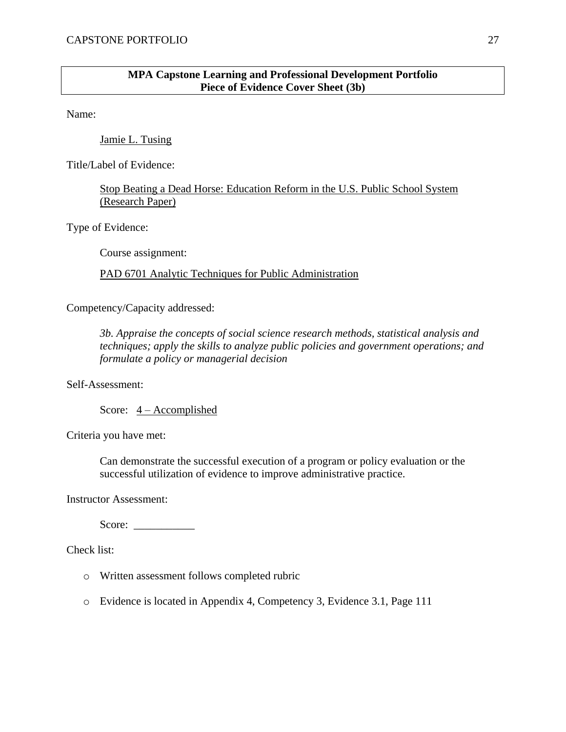Name:

Jamie L. Tusing

Title/Label of Evidence:

# Stop Beating a Dead Horse: Education Reform in the U.S. Public School System (Research Paper)

Type of Evidence:

Course assignment:

# PAD 6701 Analytic Techniques for Public Administration

Competency/Capacity addressed:

*3b. Appraise the concepts of social science research methods, statistical analysis and techniques; apply the skills to analyze public policies and government operations; and formulate a policy or managerial decision*

Self-Assessment:

| Score: | $4 -$ Accomplished |  |
|--------|--------------------|--|
|        |                    |  |

Criteria you have met:

Can demonstrate the successful execution of a program or policy evaluation or the successful utilization of evidence to improve administrative practice.

Instructor Assessment:

Score:

Check list:

- o Written assessment follows completed rubric
- o Evidence is located in Appendix 4, Competency 3, Evidence 3.1, Page 111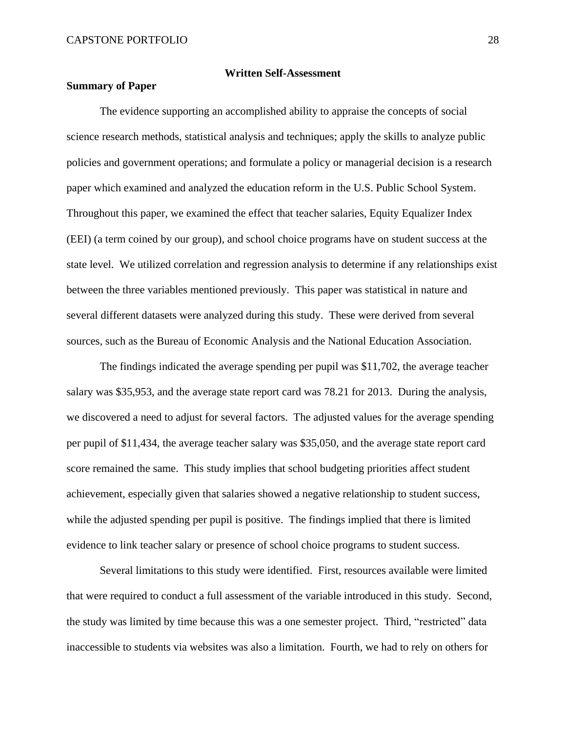#### **Written Self-Assessment**

## **Summary of Paper**

The evidence supporting an accomplished ability to appraise the concepts of social science research methods, statistical analysis and techniques; apply the skills to analyze public policies and government operations; and formulate a policy or managerial decision is a research paper which examined and analyzed the education reform in the U.S. Public School System. Throughout this paper, we examined the effect that teacher salaries, Equity Equalizer Index (EEI) (a term coined by our group), and school choice programs have on student success at the state level. We utilized correlation and regression analysis to determine if any relationships exist between the three variables mentioned previously. This paper was statistical in nature and several different datasets were analyzed during this study. These were derived from several sources, such as the Bureau of Economic Analysis and the National Education Association.

The findings indicated the average spending per pupil was \$11,702, the average teacher salary was \$35,953, and the average state report card was 78.21 for 2013. During the analysis, we discovered a need to adjust for several factors. The adjusted values for the average spending per pupil of \$11,434, the average teacher salary was \$35,050, and the average state report card score remained the same. This study implies that school budgeting priorities affect student achievement, especially given that salaries showed a negative relationship to student success, while the adjusted spending per pupil is positive. The findings implied that there is limited evidence to link teacher salary or presence of school choice programs to student success.

Several limitations to this study were identified. First, resources available were limited that were required to conduct a full assessment of the variable introduced in this study. Second, the study was limited by time because this was a one semester project. Third, "restricted" data inaccessible to students via websites was also a limitation. Fourth, we had to rely on others for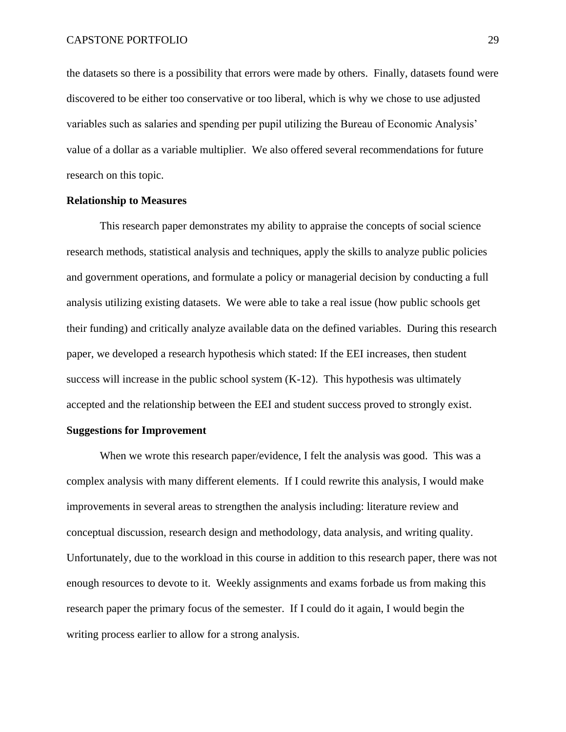the datasets so there is a possibility that errors were made by others. Finally, datasets found were discovered to be either too conservative or too liberal, which is why we chose to use adjusted variables such as salaries and spending per pupil utilizing the Bureau of Economic Analysis' value of a dollar as a variable multiplier. We also offered several recommendations for future research on this topic.

### **Relationship to Measures**

This research paper demonstrates my ability to appraise the concepts of social science research methods, statistical analysis and techniques, apply the skills to analyze public policies and government operations, and formulate a policy or managerial decision by conducting a full analysis utilizing existing datasets. We were able to take a real issue (how public schools get their funding) and critically analyze available data on the defined variables. During this research paper, we developed a research hypothesis which stated: If the EEI increases, then student success will increase in the public school system (K-12). This hypothesis was ultimately accepted and the relationship between the EEI and student success proved to strongly exist.

### **Suggestions for Improvement**

When we wrote this research paper/evidence, I felt the analysis was good. This was a complex analysis with many different elements. If I could rewrite this analysis, I would make improvements in several areas to strengthen the analysis including: literature review and conceptual discussion, research design and methodology, data analysis, and writing quality. Unfortunately, due to the workload in this course in addition to this research paper, there was not enough resources to devote to it. Weekly assignments and exams forbade us from making this research paper the primary focus of the semester. If I could do it again, I would begin the writing process earlier to allow for a strong analysis.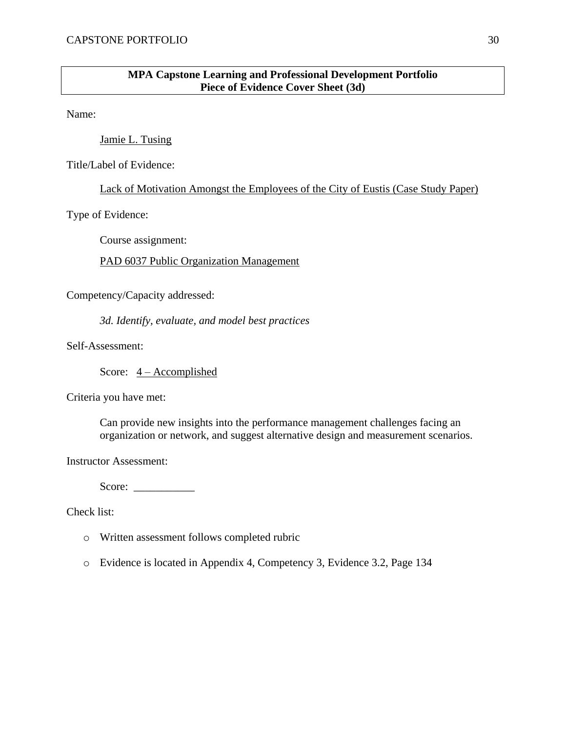Name:

Jamie L. Tusing

Title/Label of Evidence:

# Lack of Motivation Amongst the Employees of the City of Eustis (Case Study Paper)

Type of Evidence:

Course assignment:

PAD 6037 Public Organization Management

Competency/Capacity addressed:

*3d. Identify, evaluate, and model best practices*

Self-Assessment:

Score:  $\frac{4 - \text{Accomplished}}{}$ 

Criteria you have met:

Can provide new insights into the performance management challenges facing an organization or network, and suggest alternative design and measurement scenarios.

Instructor Assessment:

Score: \_\_\_\_\_\_\_\_\_\_\_

Check list:

- o Written assessment follows completed rubric
- o Evidence is located in Appendix 4, Competency 3, Evidence 3.2, Page 134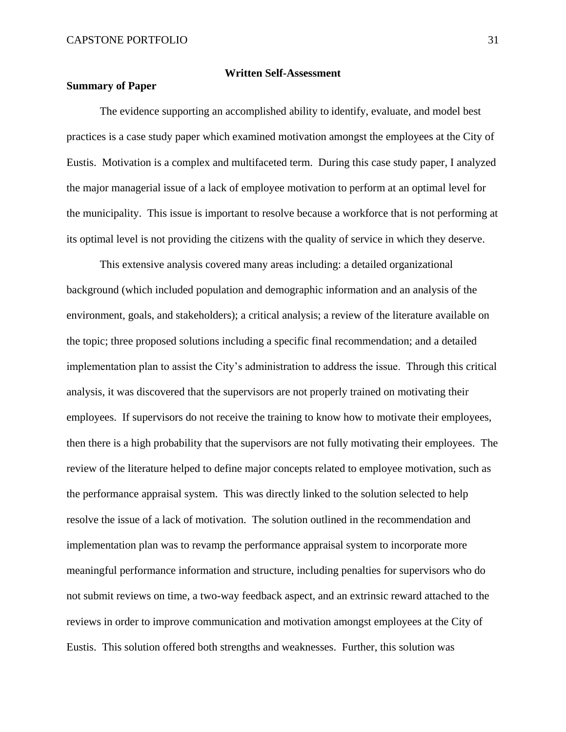#### **Written Self-Assessment**

## **Summary of Paper**

The evidence supporting an accomplished ability to identify, evaluate, and model best practices is a case study paper which examined motivation amongst the employees at the City of Eustis. Motivation is a complex and multifaceted term. During this case study paper, I analyzed the major managerial issue of a lack of employee motivation to perform at an optimal level for the municipality. This issue is important to resolve because a workforce that is not performing at its optimal level is not providing the citizens with the quality of service in which they deserve.

This extensive analysis covered many areas including: a detailed organizational background (which included population and demographic information and an analysis of the environment, goals, and stakeholders); a critical analysis; a review of the literature available on the topic; three proposed solutions including a specific final recommendation; and a detailed implementation plan to assist the City's administration to address the issue. Through this critical analysis, it was discovered that the supervisors are not properly trained on motivating their employees. If supervisors do not receive the training to know how to motivate their employees, then there is a high probability that the supervisors are not fully motivating their employees. The review of the literature helped to define major concepts related to employee motivation, such as the performance appraisal system. This was directly linked to the solution selected to help resolve the issue of a lack of motivation. The solution outlined in the recommendation and implementation plan was to revamp the performance appraisal system to incorporate more meaningful performance information and structure, including penalties for supervisors who do not submit reviews on time, a two-way feedback aspect, and an extrinsic reward attached to the reviews in order to improve communication and motivation amongst employees at the City of Eustis. This solution offered both strengths and weaknesses. Further, this solution was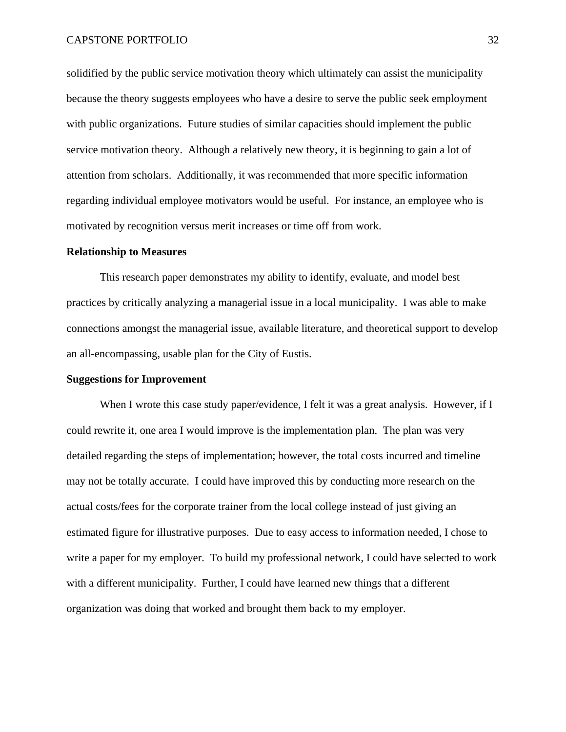solidified by the public service motivation theory which ultimately can assist the municipality because the theory suggests employees who have a desire to serve the public seek employment with public organizations. Future studies of similar capacities should implement the public service motivation theory. Although a relatively new theory, it is beginning to gain a lot of attention from scholars. Additionally, it was recommended that more specific information regarding individual employee motivators would be useful. For instance, an employee who is motivated by recognition versus merit increases or time off from work.

#### **Relationship to Measures**

This research paper demonstrates my ability to identify, evaluate, and model best practices by critically analyzing a managerial issue in a local municipality. I was able to make connections amongst the managerial issue, available literature, and theoretical support to develop an all-encompassing, usable plan for the City of Eustis.

#### **Suggestions for Improvement**

When I wrote this case study paper/evidence, I felt it was a great analysis. However, if I could rewrite it, one area I would improve is the implementation plan. The plan was very detailed regarding the steps of implementation; however, the total costs incurred and timeline may not be totally accurate. I could have improved this by conducting more research on the actual costs/fees for the corporate trainer from the local college instead of just giving an estimated figure for illustrative purposes. Due to easy access to information needed, I chose to write a paper for my employer. To build my professional network, I could have selected to work with a different municipality. Further, I could have learned new things that a different organization was doing that worked and brought them back to my employer.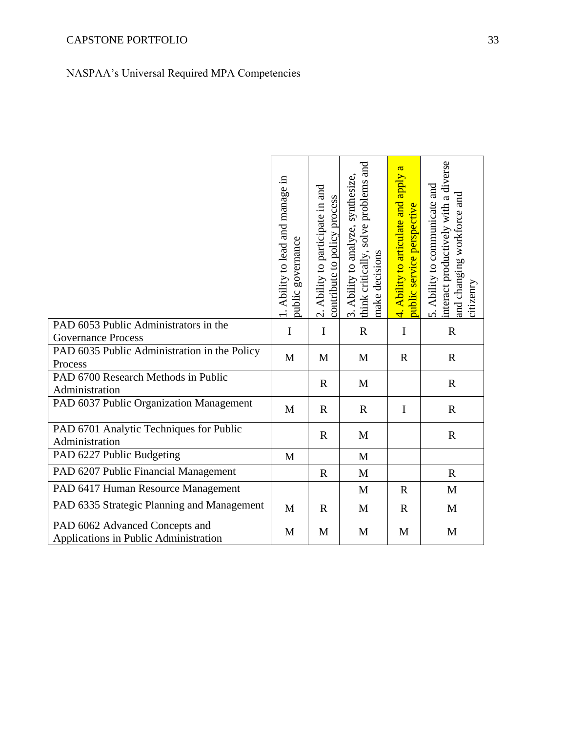# <span id="page-32-0"></span>NASPAA's Universal Required MPA Competencies

|                                                                         | I. Ability to lead and manage in<br>public governance | 2. Ability to participate in and<br>contribute to policy process | think critically, solve problems and<br>3. Ability to analyze, synthesize,<br>make decisions | 4. Ability to articulate and apply a<br>public service perspective | interact productively with a diverse<br>5. Ability to communicate and<br>and changing workforce and<br>citizenry |
|-------------------------------------------------------------------------|-------------------------------------------------------|------------------------------------------------------------------|----------------------------------------------------------------------------------------------|--------------------------------------------------------------------|------------------------------------------------------------------------------------------------------------------|
| PAD 6053 Public Administrators in the<br><b>Governance Process</b>      | $\mathbf I$                                           | I                                                                | $\mathbf R$                                                                                  | $\mathbf I$                                                        | $\mathbf R$                                                                                                      |
| PAD 6035 Public Administration in the Policy<br>Process                 | M                                                     | M                                                                | M                                                                                            | $\mathbf R$                                                        | $\mathbf R$                                                                                                      |
| PAD 6700 Research Methods in Public<br>Administration                   |                                                       | $\mathbf R$                                                      | M                                                                                            |                                                                    | $\mathbf R$                                                                                                      |
| PAD 6037 Public Organization Management                                 | M                                                     | $\mathbf R$                                                      | $\mathbf R$                                                                                  | $\mathbf I$                                                        | $\mathbf R$                                                                                                      |
| PAD 6701 Analytic Techniques for Public<br>Administration               |                                                       | $\mathbf{R}$                                                     | M                                                                                            |                                                                    | $\mathbf R$                                                                                                      |
| PAD 6227 Public Budgeting                                               | M                                                     |                                                                  | M                                                                                            |                                                                    |                                                                                                                  |
| PAD 6207 Public Financial Management                                    |                                                       | $\mathbf R$                                                      | M                                                                                            |                                                                    | $\mathbf R$                                                                                                      |
| PAD 6417 Human Resource Management                                      |                                                       |                                                                  | $\mathbf M$                                                                                  | $\mathbf R$                                                        | M                                                                                                                |
| PAD 6335 Strategic Planning and Management                              | M                                                     | $\mathbf R$                                                      | M                                                                                            | $\mathbf R$                                                        | M                                                                                                                |
| PAD 6062 Advanced Concepts and<br>Applications in Public Administration | M                                                     | M                                                                | M                                                                                            | M                                                                  | M                                                                                                                |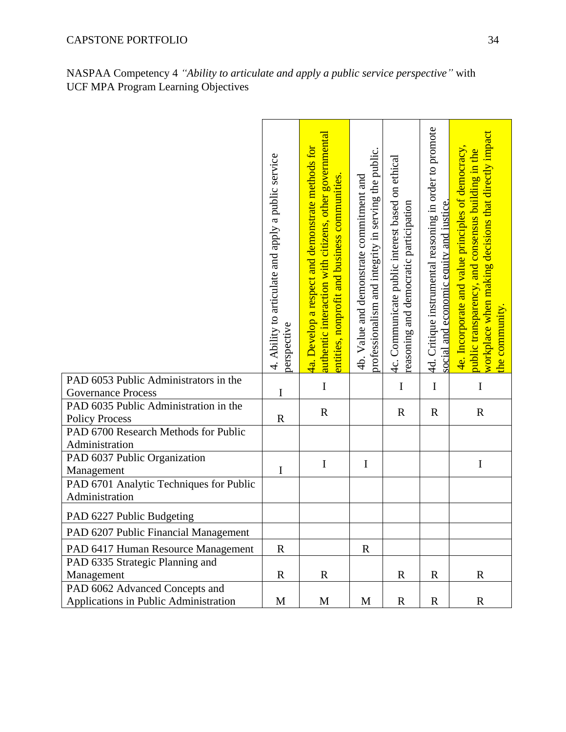<span id="page-33-0"></span>NASPAA Competency 4 *"Ability to articulate and apply a public service perspective"* with UCF MPA Program Learning Objectives

|                                                                         | 4. Ability to articulate and apply a public service<br>perspective | authentic interaction with citizens, other governmental<br>4a. Develop a respect and demonstrate methods for<br>entities, nonprofit and business communities. | professionalism and integrity in serving the public.<br>$4b$ . Value and demonstrate commitment and | 4c. Communicate public interest based on ethical<br>reasoning and democratic participation | 4d. Critique instrumental reasoning in order to promote<br>social and economic equity and justice | workplace when making decisions that directly impact<br>4e. Incorporate and value principles of democracy<br>public transparency, and consensus building in the<br>the community |
|-------------------------------------------------------------------------|--------------------------------------------------------------------|---------------------------------------------------------------------------------------------------------------------------------------------------------------|-----------------------------------------------------------------------------------------------------|--------------------------------------------------------------------------------------------|---------------------------------------------------------------------------------------------------|----------------------------------------------------------------------------------------------------------------------------------------------------------------------------------|
| PAD 6053 Public Administrators in the                                   |                                                                    | I                                                                                                                                                             |                                                                                                     | $\mathbf I$                                                                                | $\mathbf I$                                                                                       | $\mathbf I$                                                                                                                                                                      |
| <b>Governance Process</b><br>PAD 6035 Public Administration in the      | I                                                                  |                                                                                                                                                               |                                                                                                     |                                                                                            |                                                                                                   |                                                                                                                                                                                  |
| <b>Policy Process</b>                                                   | $\mathbf R$                                                        | $\mathbf R$                                                                                                                                                   |                                                                                                     | $\mathbf R$                                                                                | $\mathbf R$                                                                                       | $\mathbf R$                                                                                                                                                                      |
| PAD 6700 Research Methods for Public                                    |                                                                    |                                                                                                                                                               |                                                                                                     |                                                                                            |                                                                                                   |                                                                                                                                                                                  |
| Administration                                                          |                                                                    |                                                                                                                                                               |                                                                                                     |                                                                                            |                                                                                                   |                                                                                                                                                                                  |
| PAD 6037 Public Organization<br>Management                              | I                                                                  | $\mathbf I$                                                                                                                                                   | I                                                                                                   |                                                                                            |                                                                                                   | $\bf I$                                                                                                                                                                          |
| PAD 6701 Analytic Techniques for Public<br>Administration               |                                                                    |                                                                                                                                                               |                                                                                                     |                                                                                            |                                                                                                   |                                                                                                                                                                                  |
| PAD 6227 Public Budgeting                                               |                                                                    |                                                                                                                                                               |                                                                                                     |                                                                                            |                                                                                                   |                                                                                                                                                                                  |
| PAD 6207 Public Financial Management                                    |                                                                    |                                                                                                                                                               |                                                                                                     |                                                                                            |                                                                                                   |                                                                                                                                                                                  |
| PAD 6417 Human Resource Management                                      | $\mathbf R$                                                        |                                                                                                                                                               | $\mathbf R$                                                                                         |                                                                                            |                                                                                                   |                                                                                                                                                                                  |
| PAD 6335 Strategic Planning and                                         |                                                                    |                                                                                                                                                               |                                                                                                     |                                                                                            |                                                                                                   |                                                                                                                                                                                  |
| Management                                                              | $\mathbf R$                                                        | $\mathbf R$                                                                                                                                                   |                                                                                                     | $\mathbf R$                                                                                | $\mathbf R$                                                                                       | $\mathbf R$                                                                                                                                                                      |
| PAD 6062 Advanced Concepts and<br>Applications in Public Administration | M                                                                  | M                                                                                                                                                             | M                                                                                                   | $\mathbf R$                                                                                | $\mathbf R$                                                                                       | $\mathbf R$                                                                                                                                                                      |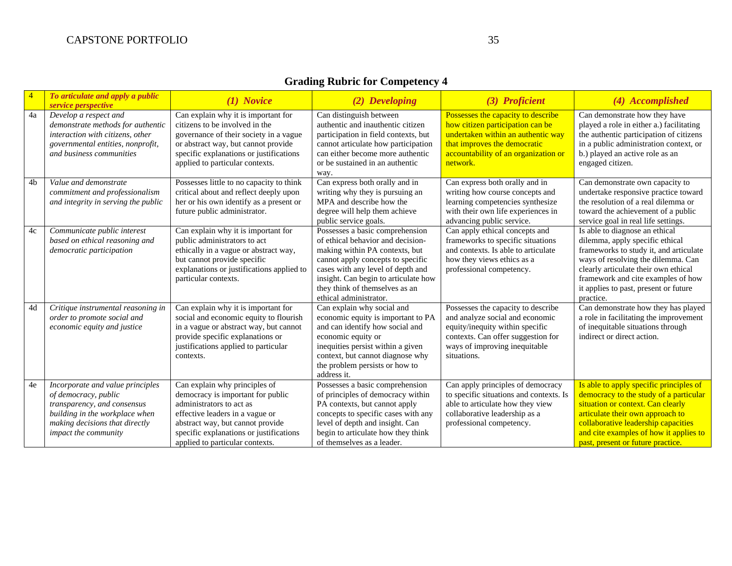# **Grading Rubric for Competency 4**

<span id="page-34-0"></span>

| To articulate and apply a public<br>service perspective                                                                                                                                   | (1) Novice                                                                                                                                                                                                                                          | (2) Developing                                                                                                                                                                                                                                                                       | (3) Proficient                                                                                                                                                                                   | (4) Accomplished                                                                                                                                                                                                                                                                      |
|-------------------------------------------------------------------------------------------------------------------------------------------------------------------------------------------|-----------------------------------------------------------------------------------------------------------------------------------------------------------------------------------------------------------------------------------------------------|--------------------------------------------------------------------------------------------------------------------------------------------------------------------------------------------------------------------------------------------------------------------------------------|--------------------------------------------------------------------------------------------------------------------------------------------------------------------------------------------------|---------------------------------------------------------------------------------------------------------------------------------------------------------------------------------------------------------------------------------------------------------------------------------------|
| Develop a respect and<br>4a<br>demonstrate methods for authentic<br>interaction with citizens, other<br>governmental entities, nonprofit,<br>and business communities                     | Can explain why it is important for<br>citizens to be involved in the<br>governance of their society in a vague<br>or abstract way, but cannot provide<br>specific explanations or justifications<br>applied to particular contexts.                | Can distinguish between<br>authentic and inauthentic citizen<br>participation in field contexts, but<br>cannot articulate how participation<br>can either become more authentic<br>or be sustained in an authentic<br>way.                                                           | Possesses the capacity to describe<br>how citizen participation can be<br>undertaken within an authentic way<br>that improves the democratic<br>accountability of an organization or<br>network. | Can demonstrate how they have<br>played a role in either a.) facilitating<br>the authentic participation of citizens<br>in a public administration context, or<br>b.) played an active role as an<br>engaged citizen.                                                                 |
| Value and demonstrate<br>4b<br>commitment and professionalism<br>and integrity in serving the public                                                                                      | Possesses little to no capacity to think<br>critical about and reflect deeply upon<br>her or his own identify as a present or<br>future public administrator.                                                                                       | Can express both orally and in<br>writing why they is pursuing an<br>MPA and describe how the<br>degree will help them achieve<br>public service goals.                                                                                                                              | Can express both orally and in<br>writing how course concepts and<br>learning competencies synthesize<br>with their own life experiences in<br>advancing public service.                         | Can demonstrate own capacity to<br>undertake responsive practice toward<br>the resolution of a real dilemma or<br>toward the achievement of a public<br>service goal in real life settings.                                                                                           |
| Communicate public interest<br>4c<br>based on ethical reasoning and<br>democratic participation                                                                                           | Can explain why it is important for<br>public administrators to act<br>ethically in a vague or abstract way,<br>but cannot provide specific<br>explanations or justifications applied to<br>particular contexts.                                    | Possesses a basic comprehension<br>of ethical behavior and decision-<br>making within PA contexts, but<br>cannot apply concepts to specific<br>cases with any level of depth and<br>insight. Can begin to articulate how<br>they think of themselves as an<br>ethical administrator. | Can apply ethical concepts and<br>frameworks to specific situations<br>and contexts. Is able to articulate<br>how they views ethics as a<br>professional competency.                             | Is able to diagnose an ethical<br>dilemma, apply specific ethical<br>frameworks to study it, and articulate<br>ways of resolving the dilemma. Can<br>clearly articulate their own ethical<br>framework and cite examples of how<br>it applies to past, present or future<br>practice. |
| Critique instrumental reasoning in<br>4d<br>order to promote social and<br>economic equity and justice                                                                                    | Can explain why it is important for<br>social and economic equity to flourish<br>in a vague or abstract way, but cannot<br>provide specific explanations or<br>justifications applied to particular<br>contexts.                                    | Can explain why social and<br>economic equity is important to PA<br>and can identify how social and<br>economic equity or<br>inequities persist within a given<br>context, but cannot diagnose why<br>the problem persists or how to<br>address it.                                  | Possesses the capacity to describe<br>and analyze social and economic<br>equity/inequity within specific<br>contexts. Can offer suggestion for<br>ways of improving inequitable<br>situations.   | Can demonstrate how they has played<br>a role in facilitating the improvement<br>of inequitable situations through<br>indirect or direct action.                                                                                                                                      |
| Incorporate and value principles<br>4e<br>of democracy, public<br>transparency, and consensus<br>building in the workplace when<br>making decisions that directly<br>impact the community | Can explain why principles of<br>democracy is important for public<br>administrators to act as<br>effective leaders in a vague or<br>abstract way, but cannot provide<br>specific explanations or justifications<br>applied to particular contexts. | Possesses a basic comprehension<br>of principles of democracy within<br>PA contexts, but cannot apply<br>concepts to specific cases with any<br>level of depth and insight. Can<br>begin to articulate how they think<br>of themselves as a leader.                                  | Can apply principles of democracy<br>to specific situations and contexts. Is<br>able to articulate how they view<br>collaborative leadership as a<br>professional competency.                    | Is able to apply specific principles of<br>democracy to the study of a particular<br>situation or context. Can clearly<br>articulate their own approach to<br>collaborative leadership capacities<br>and cite examples of how it applies to<br>past, present or future practice.      |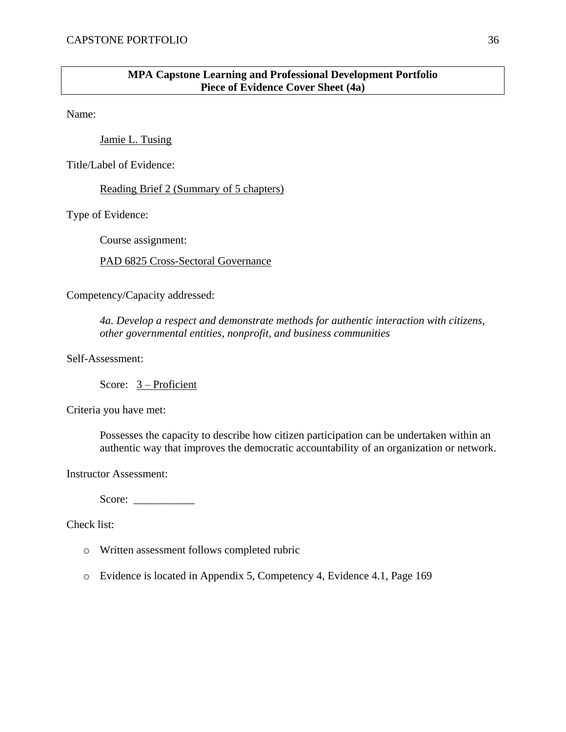Name:

Jamie L. Tusing

Title/Label of Evidence:

# Reading Brief 2 (Summary of 5 chapters)

Type of Evidence:

Course assignment:

PAD 6825 Cross-Sectoral Governance

Competency/Capacity addressed:

*4a. Develop a respect and demonstrate methods for authentic interaction with citizens, other governmental entities, nonprofit, and business communities*

Self-Assessment:

Score: 3 – Proficient

Criteria you have met:

Possesses the capacity to describe how citizen participation can be undertaken within an authentic way that improves the democratic accountability of an organization or network.

Instructor Assessment:

Score:

Check list:

- o Written assessment follows completed rubric
- o Evidence is located in Appendix 5, Competency 4, Evidence 4.1, Page 169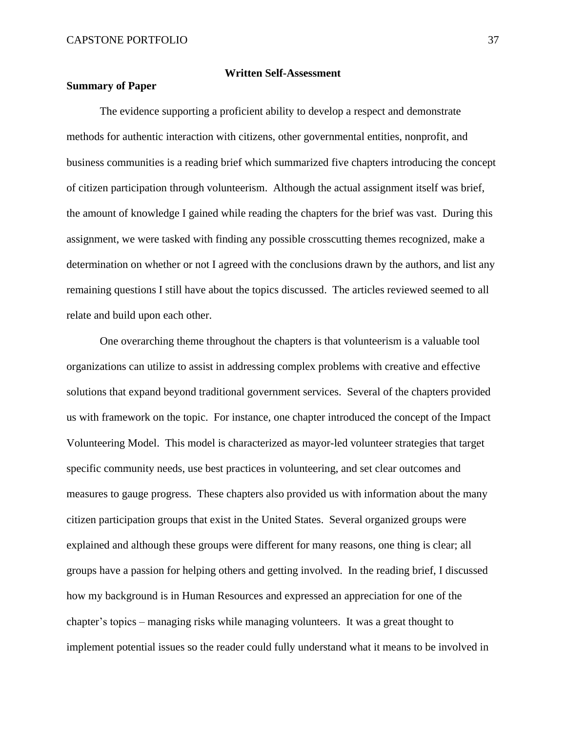#### **Written Self-Assessment**

## **Summary of Paper**

The evidence supporting a proficient ability to develop a respect and demonstrate methods for authentic interaction with citizens, other governmental entities, nonprofit, and business communities is a reading brief which summarized five chapters introducing the concept of citizen participation through volunteerism. Although the actual assignment itself was brief, the amount of knowledge I gained while reading the chapters for the brief was vast. During this assignment, we were tasked with finding any possible crosscutting themes recognized, make a determination on whether or not I agreed with the conclusions drawn by the authors, and list any remaining questions I still have about the topics discussed. The articles reviewed seemed to all relate and build upon each other.

One overarching theme throughout the chapters is that volunteerism is a valuable tool organizations can utilize to assist in addressing complex problems with creative and effective solutions that expand beyond traditional government services. Several of the chapters provided us with framework on the topic. For instance, one chapter introduced the concept of the Impact Volunteering Model. This model is characterized as mayor-led volunteer strategies that target specific community needs, use best practices in volunteering, and set clear outcomes and measures to gauge progress. These chapters also provided us with information about the many citizen participation groups that exist in the United States. Several organized groups were explained and although these groups were different for many reasons, one thing is clear; all groups have a passion for helping others and getting involved. In the reading brief, I discussed how my background is in Human Resources and expressed an appreciation for one of the chapter's topics – managing risks while managing volunteers. It was a great thought to implement potential issues so the reader could fully understand what it means to be involved in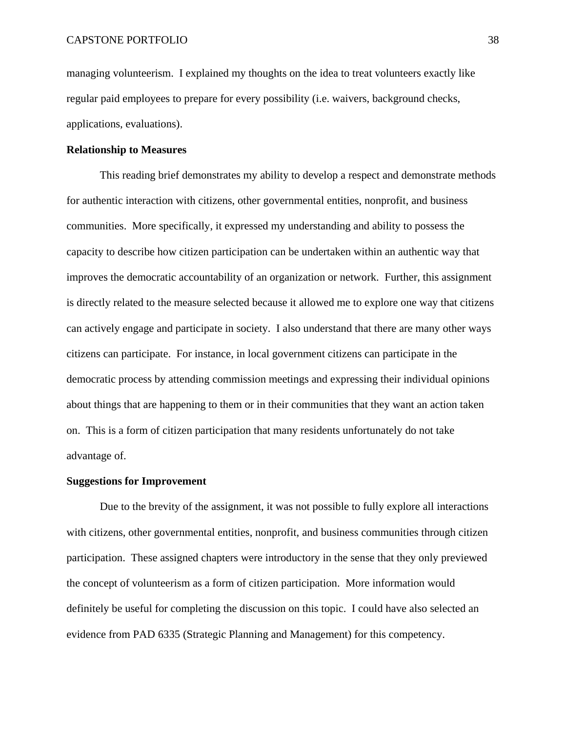managing volunteerism. I explained my thoughts on the idea to treat volunteers exactly like regular paid employees to prepare for every possibility (i.e. waivers, background checks, applications, evaluations).

### **Relationship to Measures**

This reading brief demonstrates my ability to develop a respect and demonstrate methods for authentic interaction with citizens, other governmental entities, nonprofit, and business communities. More specifically, it expressed my understanding and ability to possess the capacity to describe how citizen participation can be undertaken within an authentic way that improves the democratic accountability of an organization or network. Further, this assignment is directly related to the measure selected because it allowed me to explore one way that citizens can actively engage and participate in society. I also understand that there are many other ways citizens can participate. For instance, in local government citizens can participate in the democratic process by attending commission meetings and expressing their individual opinions about things that are happening to them or in their communities that they want an action taken on. This is a form of citizen participation that many residents unfortunately do not take advantage of.

#### **Suggestions for Improvement**

Due to the brevity of the assignment, it was not possible to fully explore all interactions with citizens, other governmental entities, nonprofit, and business communities through citizen participation. These assigned chapters were introductory in the sense that they only previewed the concept of volunteerism as a form of citizen participation. More information would definitely be useful for completing the discussion on this topic. I could have also selected an evidence from PAD 6335 (Strategic Planning and Management) for this competency.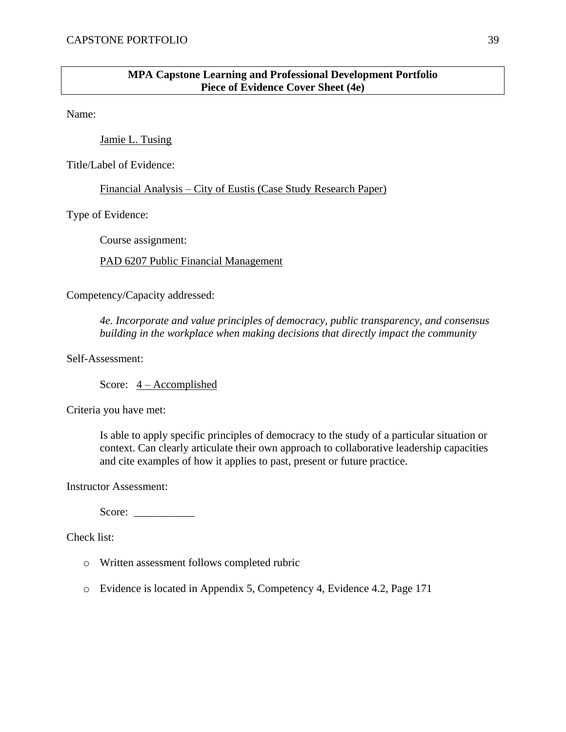Name:

Jamie L. Tusing

Title/Label of Evidence:

Financial Analysis – City of Eustis (Case Study Research Paper)

Type of Evidence:

Course assignment:

PAD 6207 Public Financial Management

Competency/Capacity addressed:

*4e. Incorporate and value principles of democracy, public transparency, and consensus building in the workplace when making decisions that directly impact the community*

Self-Assessment:

Score: 4 – Accomplished

Criteria you have met:

Is able to apply specific principles of democracy to the study of a particular situation or context. Can clearly articulate their own approach to collaborative leadership capacities and cite examples of how it applies to past, present or future practice.

Instructor Assessment:

Score: \_\_\_\_\_\_\_\_\_\_\_

Check list:

- o Written assessment follows completed rubric
- o Evidence is located in Appendix 5, Competency 4, Evidence 4.2, Page 171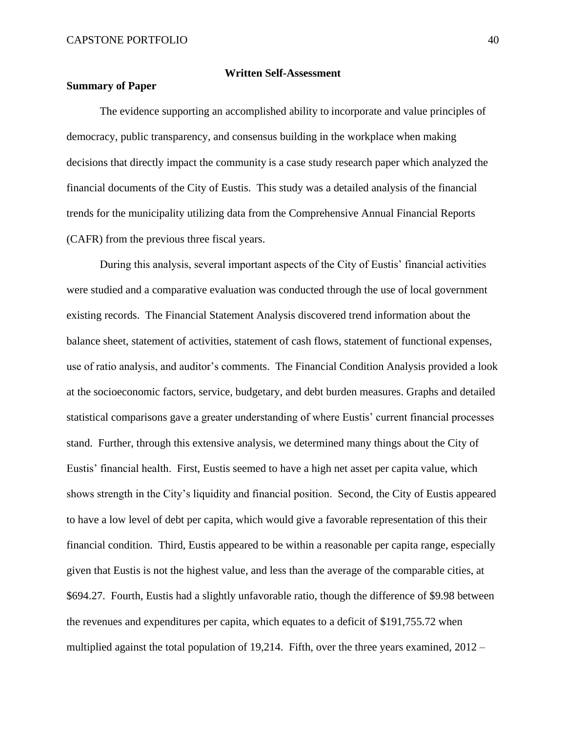#### **Written Self-Assessment**

# **Summary of Paper**

The evidence supporting an accomplished ability to incorporate and value principles of democracy, public transparency, and consensus building in the workplace when making decisions that directly impact the community is a case study research paper which analyzed the financial documents of the City of Eustis. This study was a detailed analysis of the financial trends for the municipality utilizing data from the Comprehensive Annual Financial Reports (CAFR) from the previous three fiscal years.

During this analysis, several important aspects of the City of Eustis' financial activities were studied and a comparative evaluation was conducted through the use of local government existing records. The Financial Statement Analysis discovered trend information about the balance sheet, statement of activities, statement of cash flows, statement of functional expenses, use of ratio analysis, and auditor's comments. The Financial Condition Analysis provided a look at the socioeconomic factors, service, budgetary, and debt burden measures. Graphs and detailed statistical comparisons gave a greater understanding of where Eustis' current financial processes stand. Further, through this extensive analysis, we determined many things about the City of Eustis' financial health. First, Eustis seemed to have a high net asset per capita value, which shows strength in the City's liquidity and financial position. Second, the City of Eustis appeared to have a low level of debt per capita, which would give a favorable representation of this their financial condition. Third, Eustis appeared to be within a reasonable per capita range, especially given that Eustis is not the highest value, and less than the average of the comparable cities, at \$694.27. Fourth, Eustis had a slightly unfavorable ratio, though the difference of \$9.98 between the revenues and expenditures per capita, which equates to a deficit of \$191,755.72 when multiplied against the total population of 19,214. Fifth, over the three years examined, 2012 –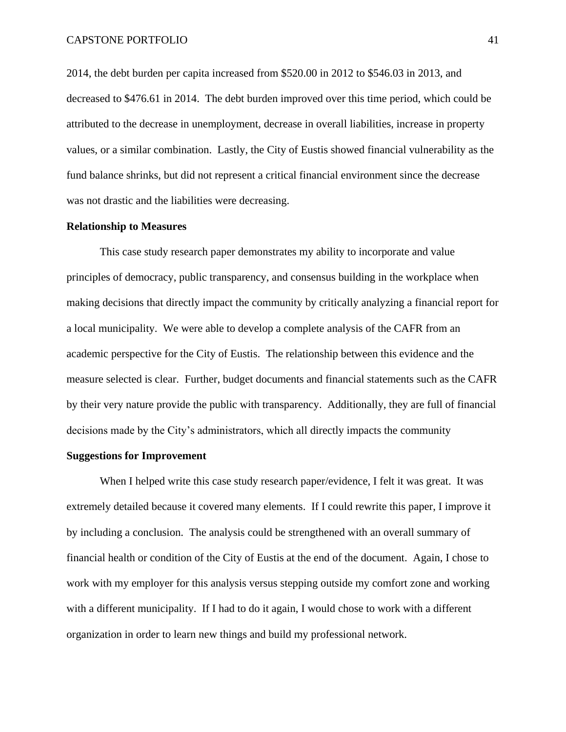2014, the debt burden per capita increased from \$520.00 in 2012 to \$546.03 in 2013, and decreased to \$476.61 in 2014. The debt burden improved over this time period, which could be attributed to the decrease in unemployment, decrease in overall liabilities, increase in property values, or a similar combination. Lastly, the City of Eustis showed financial vulnerability as the fund balance shrinks, but did not represent a critical financial environment since the decrease was not drastic and the liabilities were decreasing.

#### **Relationship to Measures**

This case study research paper demonstrates my ability to incorporate and value principles of democracy, public transparency, and consensus building in the workplace when making decisions that directly impact the community by critically analyzing a financial report for a local municipality. We were able to develop a complete analysis of the CAFR from an academic perspective for the City of Eustis. The relationship between this evidence and the measure selected is clear. Further, budget documents and financial statements such as the CAFR by their very nature provide the public with transparency. Additionally, they are full of financial decisions made by the City's administrators, which all directly impacts the community

### **Suggestions for Improvement**

When I helped write this case study research paper/evidence, I felt it was great. It was extremely detailed because it covered many elements. If I could rewrite this paper, I improve it by including a conclusion. The analysis could be strengthened with an overall summary of financial health or condition of the City of Eustis at the end of the document. Again, I chose to work with my employer for this analysis versus stepping outside my comfort zone and working with a different municipality. If I had to do it again, I would chose to work with a different organization in order to learn new things and build my professional network.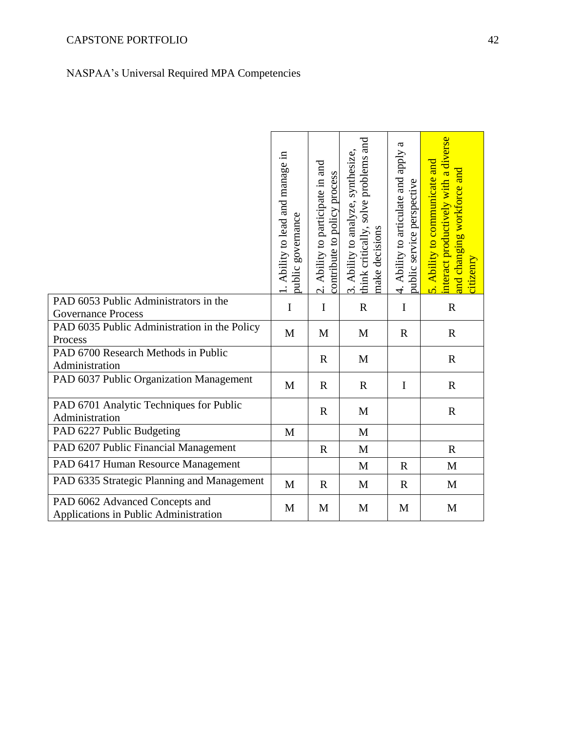# CAPSTONE PORTFOLIO 42

# <span id="page-41-0"></span>NASPAA's Universal Required MPA Competencies

|                                                                         | . Ability to lead and manage in<br>public governance | 2. Ability to participate in and<br>contribute to policy process | think critically, solve problems and<br>3. Ability to analyze, synthesize,<br>make decisions | a<br>4. Ability to articulate and apply<br>public service perspective | interact productively with a diverse<br>5. Ability to communicate and<br>and changing workforce and<br>citizenry |
|-------------------------------------------------------------------------|------------------------------------------------------|------------------------------------------------------------------|----------------------------------------------------------------------------------------------|-----------------------------------------------------------------------|------------------------------------------------------------------------------------------------------------------|
| PAD 6053 Public Administrators in the<br><b>Governance Process</b>      | I                                                    | I                                                                | ${\bf R}$                                                                                    | I                                                                     | $\mathbf R$                                                                                                      |
| PAD 6035 Public Administration in the Policy<br>Process                 | M                                                    | M                                                                | M                                                                                            | $\mathbb{R}$                                                          | $\mathbf R$                                                                                                      |
| PAD 6700 Research Methods in Public<br>Administration                   |                                                      | $\mathbf R$                                                      | M                                                                                            |                                                                       | $\mathbf R$                                                                                                      |
| PAD 6037 Public Organization Management                                 | M                                                    | $\mathbf R$                                                      | $\mathbf R$                                                                                  | $\mathbf I$                                                           | $\mathbf R$                                                                                                      |
| PAD 6701 Analytic Techniques for Public<br>Administration               |                                                      | $\mathbf R$                                                      | M                                                                                            |                                                                       | $\mathbf R$                                                                                                      |
| PAD 6227 Public Budgeting                                               | M                                                    |                                                                  | M                                                                                            |                                                                       |                                                                                                                  |
| PAD 6207 Public Financial Management                                    |                                                      | $\mathbf R$                                                      | M                                                                                            |                                                                       | $\mathbf R$                                                                                                      |
| PAD 6417 Human Resource Management                                      |                                                      |                                                                  | M                                                                                            | $\mathbf R$                                                           | M                                                                                                                |
| PAD 6335 Strategic Planning and Management                              | M                                                    | $\mathbf R$                                                      | M                                                                                            | $\mathbf R$                                                           | M                                                                                                                |
| PAD 6062 Advanced Concepts and<br>Applications in Public Administration | M                                                    | M                                                                | M                                                                                            | M                                                                     | M                                                                                                                |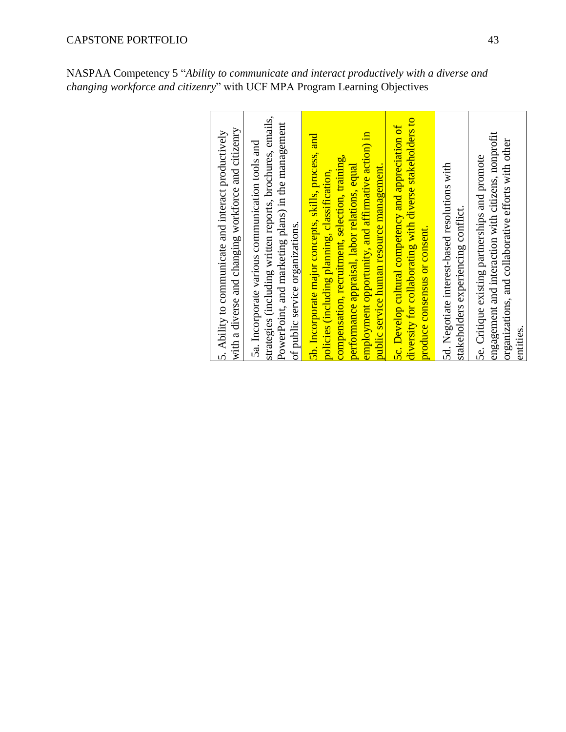<span id="page-42-0"></span>NASPAA Competency 5 "*Ability to communicate and interact productively with a diverse and changing workforce and citizenry*" with UCF MPA Program Learning Objectives

| with a diverse and changing workforce and citizenry<br>5. Ability to communicate and interact productively                                                                                                                                                                                                   |
|--------------------------------------------------------------------------------------------------------------------------------------------------------------------------------------------------------------------------------------------------------------------------------------------------------------|
| strategies (including written reports, brochures, emails,<br>PowerPoint, and marketing plans) in the management<br>5a. Incorporate various communication tools and<br>of public service organizations.                                                                                                       |
| employment opportunity, and affirmative action) in<br>5b. Incorporate major concepts, skills, process, and<br>compensation, recruitment, selection, training,<br>public service human resource management.<br>performance appraisal, labor relations, equal<br>policies (including planning, classification, |
| diversity for collaborating with diverse stakeholders to<br><b>5c. Develop cultural competency and appreciation of</b><br>produce consensus or consent.                                                                                                                                                      |
| 5d. Negotiate interest-based resolutions with<br>stakeholders experiencing conflict.                                                                                                                                                                                                                         |
| engagement and interaction with citizens, nonprofit<br>organizations, and collaborative efforts with other<br>Se. Critique existing partnerships and promote<br>entities.                                                                                                                                    |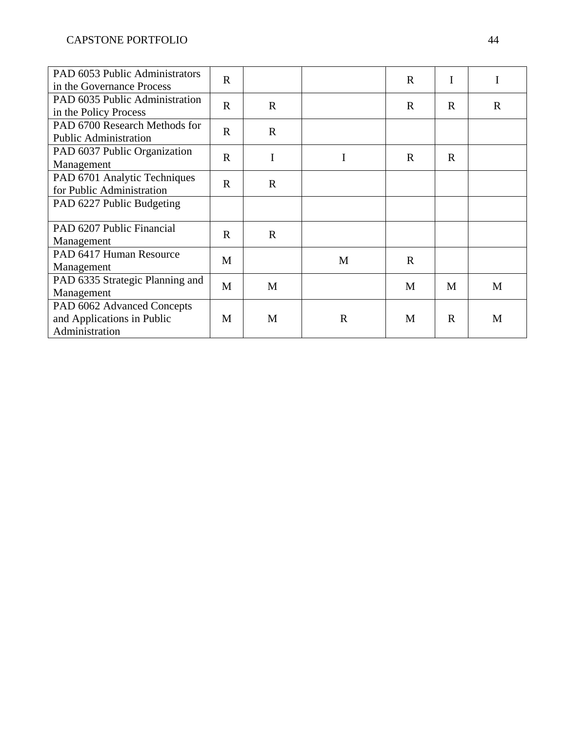| PAD 6053 Public Administrators<br>in the Governance Process                | $\mathbf R$  |              |   | $\mathbf R$ | I | I           |
|----------------------------------------------------------------------------|--------------|--------------|---|-------------|---|-------------|
| PAD 6035 Public Administration<br>in the Policy Process                    | $\mathbf{R}$ | $\mathbf{R}$ |   | $\mathbf R$ | R | $\mathbf R$ |
| PAD 6700 Research Methods for<br><b>Public Administration</b>              | $\mathbf R$  | $\mathbf R$  |   |             |   |             |
| PAD 6037 Public Organization<br>Management                                 | $\mathbf R$  | I            | I | R           | R |             |
| PAD 6701 Analytic Techniques<br>for Public Administration                  | $\mathbf{R}$ | $\mathbf{R}$ |   |             |   |             |
| PAD 6227 Public Budgeting                                                  |              |              |   |             |   |             |
| PAD 6207 Public Financial<br>Management                                    | R            | $\mathbf R$  |   |             |   |             |
| PAD 6417 Human Resource<br>Management                                      | M            |              | M | R           |   |             |
| PAD 6335 Strategic Planning and<br>Management                              | M            | M            |   | M           | M | M           |
| PAD 6062 Advanced Concepts<br>and Applications in Public<br>Administration | M            | M            | R | M           | R | M           |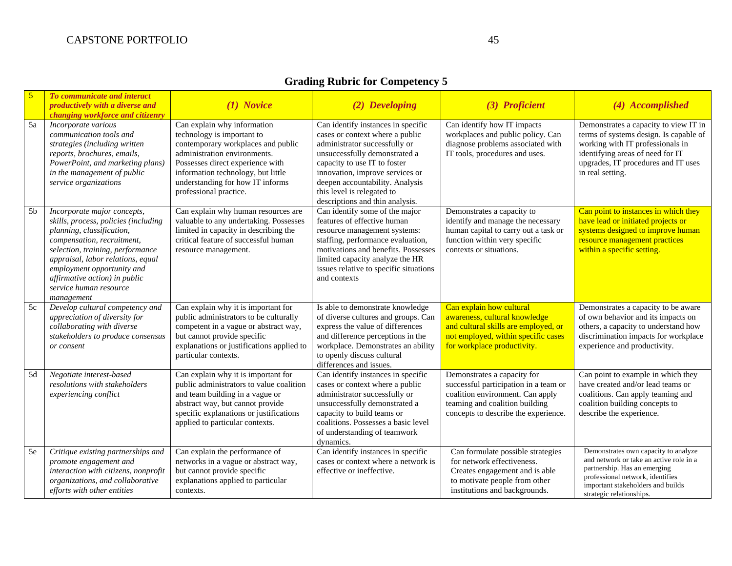# **Grading Rubric for Competency 5**

<span id="page-44-0"></span>

| 5              | <b>To communicate and interact</b><br>productively with a diverse and<br>changing workforce and citizenry                                                                                                                                                                                                      | (1) Novice                                                                                                                                                                                                                                                              | (2) Developing                                                                                                                                                                                                                                                                                                 | (3) Proficient                                                                                                                                                                     | (4) Accomplished                                                                                                                                                                                                     |
|----------------|----------------------------------------------------------------------------------------------------------------------------------------------------------------------------------------------------------------------------------------------------------------------------------------------------------------|-------------------------------------------------------------------------------------------------------------------------------------------------------------------------------------------------------------------------------------------------------------------------|----------------------------------------------------------------------------------------------------------------------------------------------------------------------------------------------------------------------------------------------------------------------------------------------------------------|------------------------------------------------------------------------------------------------------------------------------------------------------------------------------------|----------------------------------------------------------------------------------------------------------------------------------------------------------------------------------------------------------------------|
| 5a             | Incorporate various<br>communication tools and<br>strategies (including written<br>reports, brochures, emails,<br>PowerPoint, and marketing plans)<br>in the management of public<br>service organizations                                                                                                     | Can explain why information<br>technology is important to<br>contemporary workplaces and public<br>administration environments.<br>Possesses direct experience with<br>information technology, but little<br>understanding for how IT informs<br>professional practice. | Can identify instances in specific<br>cases or context where a public<br>administrator successfully or<br>unsuccessfully demonstrated a<br>capacity to use IT to foster<br>innovation, improve services or<br>deepen accountability. Analysis<br>this level is relegated to<br>descriptions and thin analysis. | Can identify how IT impacts<br>workplaces and public policy. Can<br>diagnose problems associated with<br>IT tools, procedures and uses.                                            | Demonstrates a capacity to view IT in<br>terms of systems design. Is capable of<br>working with IT professionals in<br>identifying areas of need for IT<br>upgrades, IT procedures and IT uses<br>in real setting.   |
| 5 <sub>b</sub> | Incorporate major concepts,<br>skills, process, policies (including<br>planning, classification,<br>compensation, recruitment,<br>selection, training, performance<br>appraisal, labor relations, equal<br>employment opportunity and<br>affirmative action) in public<br>service human resource<br>management | Can explain why human resources are<br>valuable to any undertaking. Possesses<br>limited in capacity in describing the<br>critical feature of successful human<br>resource management.                                                                                  | Can identify some of the major<br>features of effective human<br>resource management systems:<br>staffing, performance evaluation,<br>motivations and benefits. Possesses<br>limited capacity analyze the HR<br>issues relative to specific situations<br>and contexts                                         | Demonstrates a capacity to<br>identify and manage the necessary<br>human capital to carry out a task or<br>function within very specific<br>contexts or situations.                | Can point to instances in which they<br>have lead or initiated projects or<br>systems designed to improve human<br>resource management practices<br>within a specific setting.                                       |
| 5c             | Develop cultural competency and<br>appreciation of diversity for<br>collaborating with diverse<br>stakeholders to produce consensus<br>or consent                                                                                                                                                              | Can explain why it is important for<br>public administrators to be culturally<br>competent in a vague or abstract way,<br>but cannot provide specific<br>explanations or justifications applied to<br>particular contexts.                                              | Is able to demonstrate knowledge<br>of diverse cultures and groups. Can<br>express the value of differences<br>and difference perceptions in the<br>workplace. Demonstrates an ability<br>to openly discuss cultural<br>differences and issues.                                                                | Can explain how cultural<br>awareness, cultural knowledge<br>and cultural skills are employed, or<br>not employed, within specific cases<br>for workplace productivity.            | Demonstrates a capacity to be aware<br>of own behavior and its impacts on<br>others, a capacity to understand how<br>discrimination impacts for workplace<br>experience and productivity.                            |
| 5d             | Negotiate interest-based<br>resolutions with stakeholders<br>experiencing conflict                                                                                                                                                                                                                             | Can explain why it is important for<br>public administrators to value coalition<br>and team building in a vague or<br>abstract way, but cannot provide<br>specific explanations or justifications<br>applied to particular contexts.                                    | Can identify instances in specific<br>cases or context where a public<br>administrator successfully or<br>unsuccessfully demonstrated a<br>capacity to build teams or<br>coalitions. Possesses a basic level<br>of understanding of teamwork<br>dynamics.                                                      | Demonstrates a capacity for<br>successful participation in a team or<br>coalition environment. Can apply<br>teaming and coalition building<br>concepts to describe the experience. | Can point to example in which they<br>have created and/or lead teams or<br>coalitions. Can apply teaming and<br>coalition building concepts to<br>describe the experience.                                           |
| 5e             | Critique existing partnerships and<br>promote engagement and<br>interaction with citizens, nonprofit<br>organizations, and collaborative<br>efforts with other entities                                                                                                                                        | Can explain the performance of<br>networks in a vague or abstract way,<br>but cannot provide specific<br>explanations applied to particular<br>contexts.                                                                                                                | Can identify instances in specific<br>cases or context where a network is<br>effective or ineffective.                                                                                                                                                                                                         | Can formulate possible strategies<br>for network effectiveness.<br>Creates engagement and is able<br>to motivate people from other<br>institutions and backgrounds.                | Demonstrates own capacity to analyze<br>and network or take an active role in a<br>partnership. Has an emerging<br>professional network, identifies<br>important stakeholders and builds<br>strategic relationships. |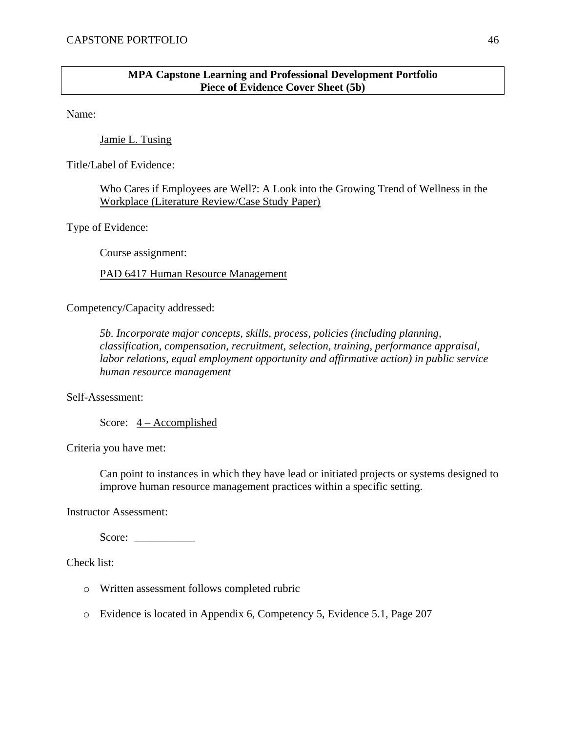Name:

Jamie L. Tusing

Title/Label of Evidence:

Who Cares if Employees are Well?: A Look into the Growing Trend of Wellness in the Workplace (Literature Review/Case Study Paper)

Type of Evidence:

Course assignment:

PAD 6417 Human Resource Management

Competency/Capacity addressed:

*5b. Incorporate major concepts, skills, process, policies (including planning, classification, compensation, recruitment, selection, training, performance appraisal, labor relations, equal employment opportunity and affirmative action) in public service human resource management*

Self-Assessment:

Score: 4 – Accomplished

Criteria you have met:

Can point to instances in which they have lead or initiated projects or systems designed to improve human resource management practices within a specific setting.

Instructor Assessment:

Score: \_\_\_\_\_\_\_\_\_\_\_

Check list:

- o Written assessment follows completed rubric
- o Evidence is located in Appendix 6, Competency 5, Evidence 5.1, Page 207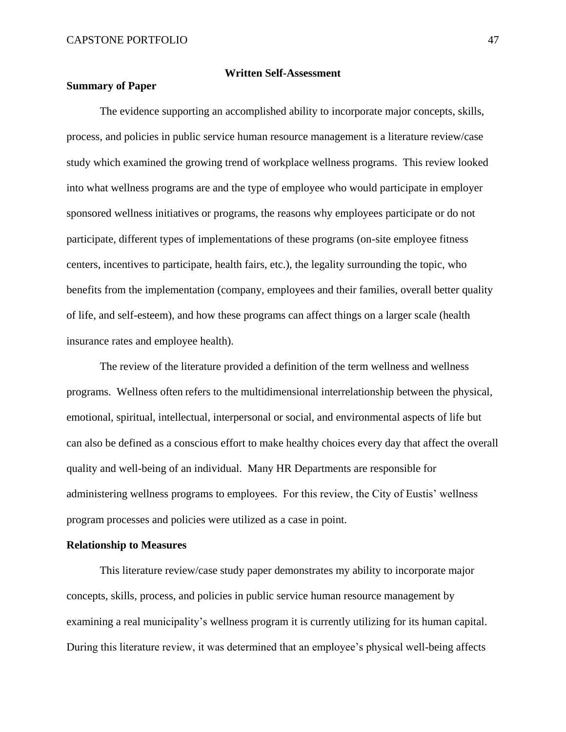#### **Written Self-Assessment**

# **Summary of Paper**

The evidence supporting an accomplished ability to incorporate major concepts, skills, process, and policies in public service human resource management is a literature review/case study which examined the growing trend of workplace wellness programs. This review looked into what wellness programs are and the type of employee who would participate in employer sponsored wellness initiatives or programs, the reasons why employees participate or do not participate, different types of implementations of these programs (on-site employee fitness centers, incentives to participate, health fairs, etc.), the legality surrounding the topic, who benefits from the implementation (company, employees and their families, overall better quality of life, and self-esteem), and how these programs can affect things on a larger scale (health insurance rates and employee health).

The review of the literature provided a definition of the term wellness and wellness programs. Wellness often refers to the multidimensional interrelationship between the physical, emotional, spiritual, intellectual, interpersonal or social, and environmental aspects of life but can also be defined as a conscious effort to make healthy choices every day that affect the overall quality and well-being of an individual. Many HR Departments are responsible for administering wellness programs to employees. For this review, the City of Eustis' wellness program processes and policies were utilized as a case in point.

# **Relationship to Measures**

This literature review/case study paper demonstrates my ability to incorporate major concepts, skills, process, and policies in public service human resource management by examining a real municipality's wellness program it is currently utilizing for its human capital. During this literature review, it was determined that an employee's physical well-being affects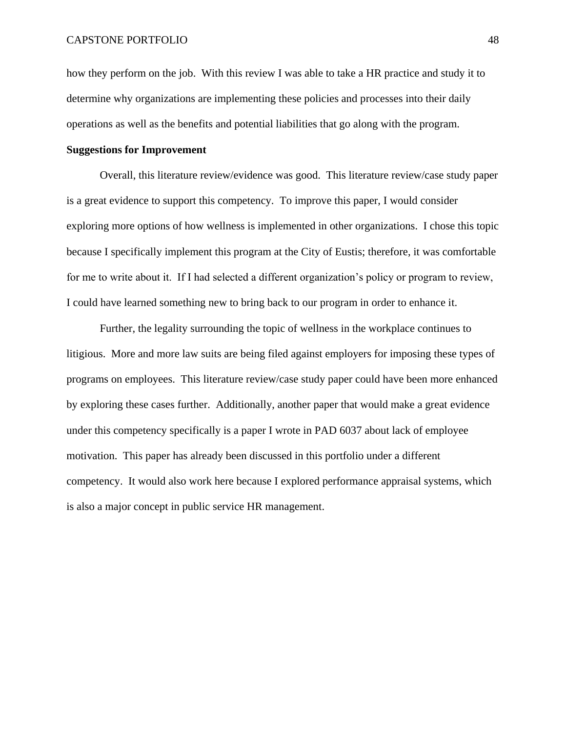how they perform on the job. With this review I was able to take a HR practice and study it to determine why organizations are implementing these policies and processes into their daily operations as well as the benefits and potential liabilities that go along with the program.

### **Suggestions for Improvement**

Overall, this literature review/evidence was good. This literature review/case study paper is a great evidence to support this competency. To improve this paper, I would consider exploring more options of how wellness is implemented in other organizations. I chose this topic because I specifically implement this program at the City of Eustis; therefore, it was comfortable for me to write about it. If I had selected a different organization's policy or program to review, I could have learned something new to bring back to our program in order to enhance it.

Further, the legality surrounding the topic of wellness in the workplace continues to litigious. More and more law suits are being filed against employers for imposing these types of programs on employees. This literature review/case study paper could have been more enhanced by exploring these cases further. Additionally, another paper that would make a great evidence under this competency specifically is a paper I wrote in PAD 6037 about lack of employee motivation. This paper has already been discussed in this portfolio under a different competency. It would also work here because I explored performance appraisal systems, which is also a major concept in public service HR management.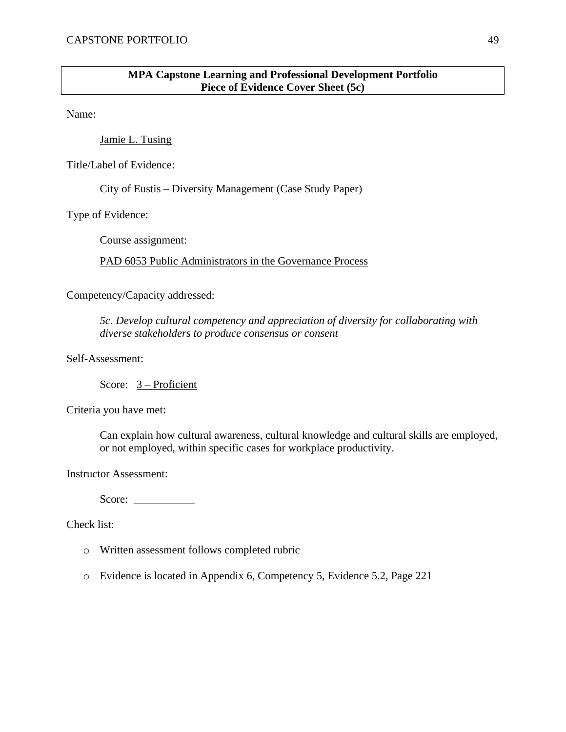Name:

Jamie L. Tusing

Title/Label of Evidence:

City of Eustis – Diversity Management (Case Study Paper)

Type of Evidence:

Course assignment:

PAD 6053 Public Administrators in the Governance Process

Competency/Capacity addressed:

*5c. Develop cultural competency and appreciation of diversity for collaborating with diverse stakeholders to produce consensus or consent*

Self-Assessment:

Score: 3 – Proficient

Criteria you have met:

Can explain how cultural awareness, cultural knowledge and cultural skills are employed, or not employed, within specific cases for workplace productivity.

Instructor Assessment:

Score:

Check list:

- o Written assessment follows completed rubric
- o Evidence is located in Appendix 6, Competency 5, Evidence 5.2, Page 221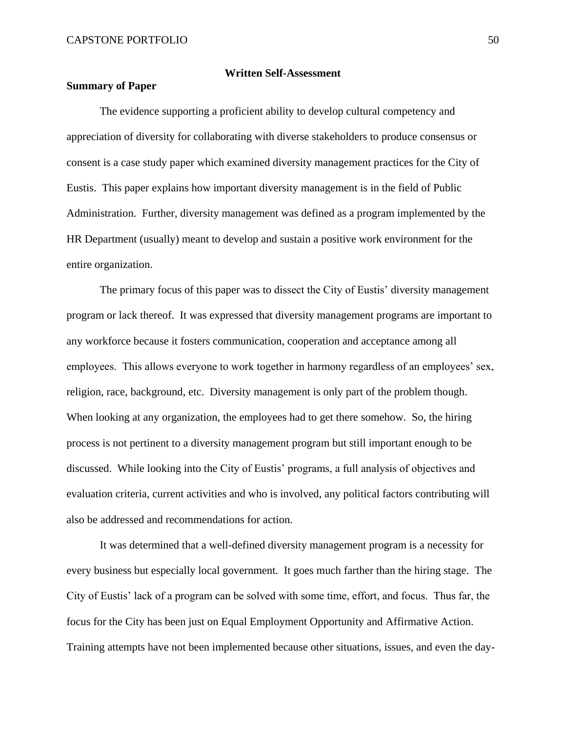#### **Written Self-Assessment**

## **Summary of Paper**

The evidence supporting a proficient ability to develop cultural competency and appreciation of diversity for collaborating with diverse stakeholders to produce consensus or consent is a case study paper which examined diversity management practices for the City of Eustis. This paper explains how important diversity management is in the field of Public Administration. Further, diversity management was defined as a program implemented by the HR Department (usually) meant to develop and sustain a positive work environment for the entire organization.

The primary focus of this paper was to dissect the City of Eustis' diversity management program or lack thereof. It was expressed that diversity management programs are important to any workforce because it fosters communication, cooperation and acceptance among all employees. This allows everyone to work together in harmony regardless of an employees' sex, religion, race, background, etc. Diversity management is only part of the problem though. When looking at any organization, the employees had to get there somehow. So, the hiring process is not pertinent to a diversity management program but still important enough to be discussed. While looking into the City of Eustis' programs, a full analysis of objectives and evaluation criteria, current activities and who is involved, any political factors contributing will also be addressed and recommendations for action.

It was determined that a well-defined diversity management program is a necessity for every business but especially local government. It goes much farther than the hiring stage. The City of Eustis' lack of a program can be solved with some time, effort, and focus. Thus far, the focus for the City has been just on Equal Employment Opportunity and Affirmative Action. Training attempts have not been implemented because other situations, issues, and even the day-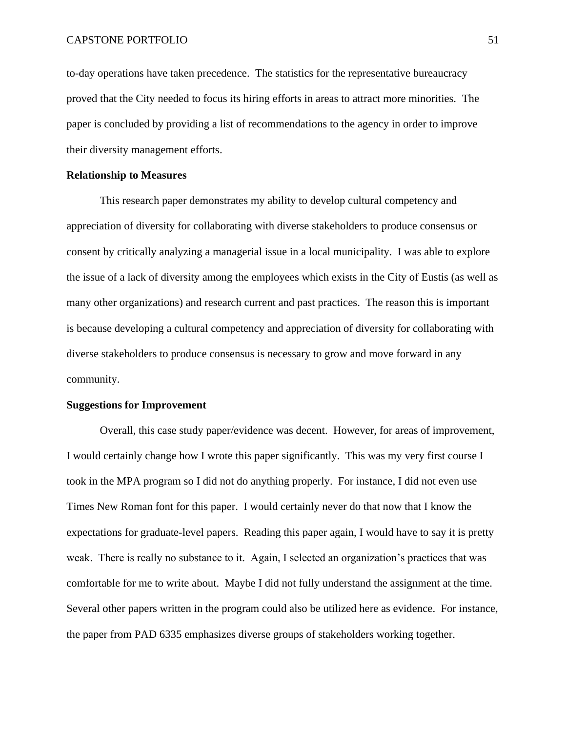to-day operations have taken precedence. The statistics for the representative bureaucracy proved that the City needed to focus its hiring efforts in areas to attract more minorities. The paper is concluded by providing a list of recommendations to the agency in order to improve their diversity management efforts.

#### **Relationship to Measures**

This research paper demonstrates my ability to develop cultural competency and appreciation of diversity for collaborating with diverse stakeholders to produce consensus or consent by critically analyzing a managerial issue in a local municipality. I was able to explore the issue of a lack of diversity among the employees which exists in the City of Eustis (as well as many other organizations) and research current and past practices. The reason this is important is because developing a cultural competency and appreciation of diversity for collaborating with diverse stakeholders to produce consensus is necessary to grow and move forward in any community.

#### **Suggestions for Improvement**

Overall, this case study paper/evidence was decent. However, for areas of improvement, I would certainly change how I wrote this paper significantly. This was my very first course I took in the MPA program so I did not do anything properly. For instance, I did not even use Times New Roman font for this paper. I would certainly never do that now that I know the expectations for graduate-level papers. Reading this paper again, I would have to say it is pretty weak. There is really no substance to it. Again, I selected an organization's practices that was comfortable for me to write about. Maybe I did not fully understand the assignment at the time. Several other papers written in the program could also be utilized here as evidence. For instance, the paper from PAD 6335 emphasizes diverse groups of stakeholders working together.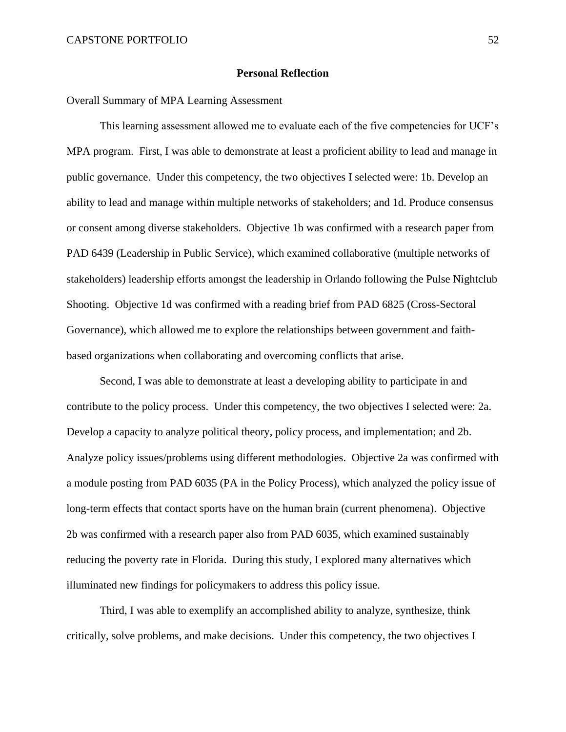#### **Personal Reflection**

<span id="page-51-1"></span><span id="page-51-0"></span>Overall Summary of MPA Learning Assessment

This learning assessment allowed me to evaluate each of the five competencies for UCF's MPA program. First, I was able to demonstrate at least a proficient ability to lead and manage in public governance. Under this competency, the two objectives I selected were: 1b. Develop an ability to lead and manage within multiple networks of stakeholders; and 1d. Produce consensus or consent among diverse stakeholders. Objective 1b was confirmed with a research paper from PAD 6439 (Leadership in Public Service), which examined collaborative (multiple networks of stakeholders) leadership efforts amongst the leadership in Orlando following the Pulse Nightclub Shooting. Objective 1d was confirmed with a reading brief from PAD 6825 (Cross-Sectoral Governance), which allowed me to explore the relationships between government and faithbased organizations when collaborating and overcoming conflicts that arise.

Second, I was able to demonstrate at least a developing ability to participate in and contribute to the policy process. Under this competency, the two objectives I selected were: 2a. Develop a capacity to analyze political theory, policy process, and implementation; and 2b. Analyze policy issues/problems using different methodologies. Objective 2a was confirmed with a module posting from PAD 6035 (PA in the Policy Process), which analyzed the policy issue of long-term effects that contact sports have on the human brain (current phenomena). Objective 2b was confirmed with a research paper also from PAD 6035, which examined sustainably reducing the poverty rate in Florida. During this study, I explored many alternatives which illuminated new findings for policymakers to address this policy issue.

Third, I was able to exemplify an accomplished ability to analyze, synthesize, think critically, solve problems, and make decisions. Under this competency, the two objectives I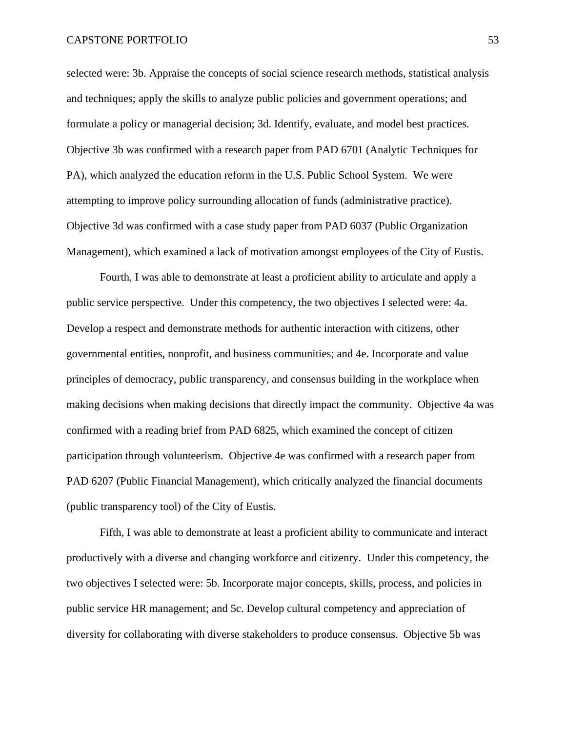selected were: 3b. Appraise the concepts of social science research methods, statistical analysis and techniques; apply the skills to analyze public policies and government operations; and formulate a policy or managerial decision; 3d. Identify, evaluate, and model best practices. Objective 3b was confirmed with a research paper from PAD 6701 (Analytic Techniques for PA), which analyzed the education reform in the U.S. Public School System. We were attempting to improve policy surrounding allocation of funds (administrative practice). Objective 3d was confirmed with a case study paper from PAD 6037 (Public Organization Management), which examined a lack of motivation amongst employees of the City of Eustis.

Fourth, I was able to demonstrate at least a proficient ability to articulate and apply a public service perspective. Under this competency, the two objectives I selected were: 4a. Develop a respect and demonstrate methods for authentic interaction with citizens, other governmental entities, nonprofit, and business communities; and 4e. Incorporate and value principles of democracy, public transparency, and consensus building in the workplace when making decisions when making decisions that directly impact the community. Objective 4a was confirmed with a reading brief from PAD 6825, which examined the concept of citizen participation through volunteerism. Objective 4e was confirmed with a research paper from PAD 6207 (Public Financial Management), which critically analyzed the financial documents (public transparency tool) of the City of Eustis.

Fifth, I was able to demonstrate at least a proficient ability to communicate and interact productively with a diverse and changing workforce and citizenry. Under this competency, the two objectives I selected were: 5b. Incorporate major concepts, skills, process, and policies in public service HR management; and 5c. Develop cultural competency and appreciation of diversity for collaborating with diverse stakeholders to produce consensus. Objective 5b was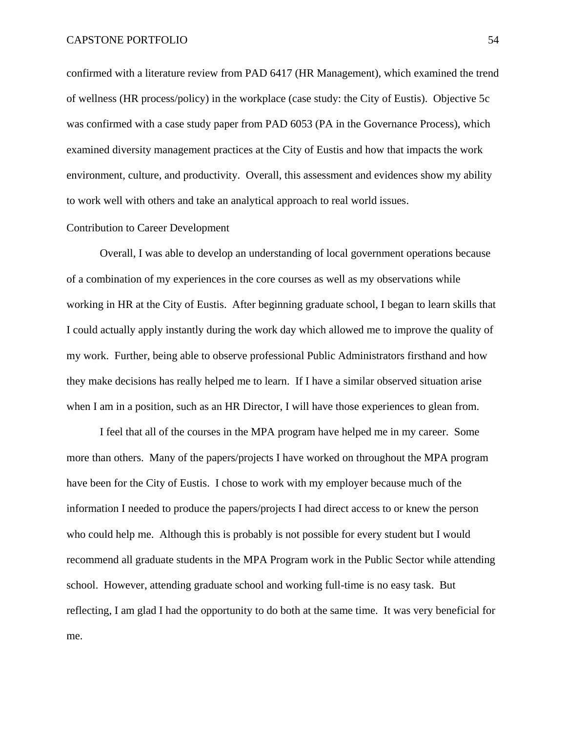confirmed with a literature review from PAD 6417 (HR Management), which examined the trend of wellness (HR process/policy) in the workplace (case study: the City of Eustis). Objective 5c was confirmed with a case study paper from PAD 6053 (PA in the Governance Process), which examined diversity management practices at the City of Eustis and how that impacts the work environment, culture, and productivity. Overall, this assessment and evidences show my ability to work well with others and take an analytical approach to real world issues.

### <span id="page-53-0"></span>Contribution to Career Development

Overall, I was able to develop an understanding of local government operations because of a combination of my experiences in the core courses as well as my observations while working in HR at the City of Eustis. After beginning graduate school, I began to learn skills that I could actually apply instantly during the work day which allowed me to improve the quality of my work. Further, being able to observe professional Public Administrators firsthand and how they make decisions has really helped me to learn. If I have a similar observed situation arise when I am in a position, such as an HR Director, I will have those experiences to glean from.

I feel that all of the courses in the MPA program have helped me in my career. Some more than others. Many of the papers/projects I have worked on throughout the MPA program have been for the City of Eustis. I chose to work with my employer because much of the information I needed to produce the papers/projects I had direct access to or knew the person who could help me. Although this is probably is not possible for every student but I would recommend all graduate students in the MPA Program work in the Public Sector while attending school. However, attending graduate school and working full-time is no easy task. But reflecting, I am glad I had the opportunity to do both at the same time. It was very beneficial for me.